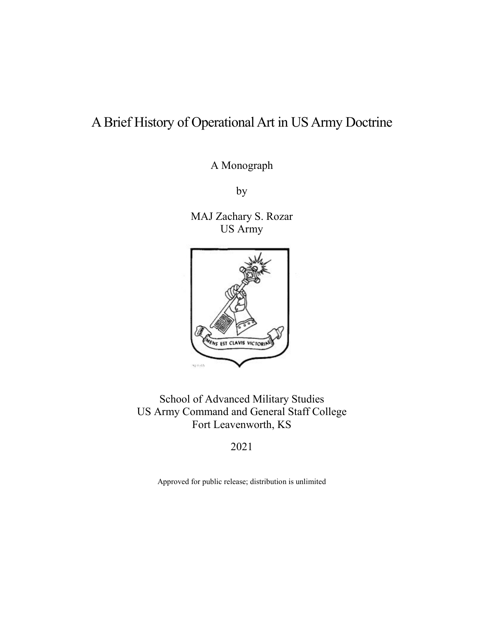# A Brief History of Operational Art in US Army Doctrine

A Monograph

by

MAJ Zachary S. Rozar US Army



School of Advanced Military Studies US Army Command and General Staff College Fort Leavenworth, KS

2021

Approved for public release; distribution is unlimited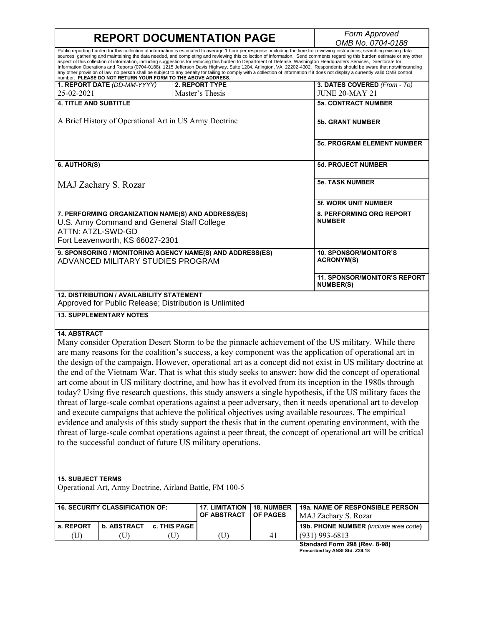# **REPORT DOCUMENTATION PAGE**

*Form Approved*<br> *OMB No. 0704-0188* 

|                                                                                                                |                                                                                             |              |                                                           |                   | 00010101010101<br>Public reporting burden for this collection of information is estimated to average 1 hour per response, including the time for reviewing instructions, searching existing data                                                                                                                                                                                                                                                                                                                                                                                                                                                                                                                |  |
|----------------------------------------------------------------------------------------------------------------|---------------------------------------------------------------------------------------------|--------------|-----------------------------------------------------------|-------------------|-----------------------------------------------------------------------------------------------------------------------------------------------------------------------------------------------------------------------------------------------------------------------------------------------------------------------------------------------------------------------------------------------------------------------------------------------------------------------------------------------------------------------------------------------------------------------------------------------------------------------------------------------------------------------------------------------------------------|--|
|                                                                                                                |                                                                                             |              |                                                           |                   | sources, gathering and maintaining the data needed, and completing and reviewing this collection of information. Send comments regarding this burden estimate or any other<br>aspect of this collection of information, including suggestions for reducing this burden to Department of Defense, Washington Headquarters Services, Directorate for<br>Information Operations and Reports (0704-0188), 1215 Jefferson Davis Highway, Suite 1204, Arlington, VA 22202-4302. Respondents should be aware that notwithstanding<br>any other provision of law, no person shall be subject to any penalty for failing to comply with a collection of information if it does not display a currently valid OMB control |  |
|                                                                                                                | number. PLEASE DO NOT RETURN YOUR FORM TO THE ABOVE ADDRESS.<br>1. REPORT DATE (DD-MM-YYYY) |              | 2. REPORT TYPE                                            |                   | 3. DATES COVERED (From - To)                                                                                                                                                                                                                                                                                                                                                                                                                                                                                                                                                                                                                                                                                    |  |
| 25-02-2021                                                                                                     |                                                                                             |              | Master's Thesis                                           |                   | <b>JUNE 20-MAY 21</b>                                                                                                                                                                                                                                                                                                                                                                                                                                                                                                                                                                                                                                                                                           |  |
| <b>4. TITLE AND SUBTITLE</b>                                                                                   |                                                                                             |              |                                                           |                   | <b>5a. CONTRACT NUMBER</b>                                                                                                                                                                                                                                                                                                                                                                                                                                                                                                                                                                                                                                                                                      |  |
|                                                                                                                |                                                                                             |              |                                                           |                   |                                                                                                                                                                                                                                                                                                                                                                                                                                                                                                                                                                                                                                                                                                                 |  |
| A Brief History of Operational Art in US Army Doctrine                                                         |                                                                                             |              |                                                           |                   | <b>5b. GRANT NUMBER</b>                                                                                                                                                                                                                                                                                                                                                                                                                                                                                                                                                                                                                                                                                         |  |
|                                                                                                                |                                                                                             |              |                                                           |                   | <b>5c. PROGRAM ELEMENT NUMBER</b>                                                                                                                                                                                                                                                                                                                                                                                                                                                                                                                                                                                                                                                                               |  |
| 6. AUTHOR(S)                                                                                                   |                                                                                             |              |                                                           |                   | 5d. PROJECT NUMBER                                                                                                                                                                                                                                                                                                                                                                                                                                                                                                                                                                                                                                                                                              |  |
| MAJ Zachary S. Rozar                                                                                           |                                                                                             |              |                                                           |                   | <b>5e. TASK NUMBER</b>                                                                                                                                                                                                                                                                                                                                                                                                                                                                                                                                                                                                                                                                                          |  |
|                                                                                                                |                                                                                             |              |                                                           |                   | <b>5f. WORK UNIT NUMBER</b>                                                                                                                                                                                                                                                                                                                                                                                                                                                                                                                                                                                                                                                                                     |  |
|                                                                                                                |                                                                                             |              | 7. PERFORMING ORGANIZATION NAME(S) AND ADDRESS(ES)        |                   | 8. PERFORMING ORG REPORT                                                                                                                                                                                                                                                                                                                                                                                                                                                                                                                                                                                                                                                                                        |  |
|                                                                                                                | U.S. Army Command and General Staff College                                                 |              |                                                           |                   | <b>NUMBER</b>                                                                                                                                                                                                                                                                                                                                                                                                                                                                                                                                                                                                                                                                                                   |  |
| ATTN: ATZL-SWD-GD                                                                                              |                                                                                             |              |                                                           |                   |                                                                                                                                                                                                                                                                                                                                                                                                                                                                                                                                                                                                                                                                                                                 |  |
| Fort Leavenworth, KS 66027-2301                                                                                |                                                                                             |              |                                                           |                   |                                                                                                                                                                                                                                                                                                                                                                                                                                                                                                                                                                                                                                                                                                                 |  |
|                                                                                                                |                                                                                             |              | 9. SPONSORING / MONITORING AGENCY NAME(S) AND ADDRESS(ES) |                   | <b>10. SPONSOR/MONITOR'S</b>                                                                                                                                                                                                                                                                                                                                                                                                                                                                                                                                                                                                                                                                                    |  |
|                                                                                                                | ADVANCED MILITARY STUDIES PROGRAM                                                           |              |                                                           |                   | <b>ACRONYM(S)</b>                                                                                                                                                                                                                                                                                                                                                                                                                                                                                                                                                                                                                                                                                               |  |
|                                                                                                                |                                                                                             |              |                                                           |                   | <b>11. SPONSOR/MONITOR'S REPORT</b><br><b>NUMBER(S)</b>                                                                                                                                                                                                                                                                                                                                                                                                                                                                                                                                                                                                                                                         |  |
|                                                                                                                | <b>12. DISTRIBUTION / AVAILABILITY STATEMENT</b>                                            |              |                                                           |                   |                                                                                                                                                                                                                                                                                                                                                                                                                                                                                                                                                                                                                                                                                                                 |  |
| Approved for Public Release; Distribution is Unlimited                                                         |                                                                                             |              |                                                           |                   |                                                                                                                                                                                                                                                                                                                                                                                                                                                                                                                                                                                                                                                                                                                 |  |
| <b>13. SUPPLEMENTARY NOTES</b>                                                                                 |                                                                                             |              |                                                           |                   |                                                                                                                                                                                                                                                                                                                                                                                                                                                                                                                                                                                                                                                                                                                 |  |
| <b>14. ABSTRACT</b>                                                                                            |                                                                                             |              |                                                           |                   |                                                                                                                                                                                                                                                                                                                                                                                                                                                                                                                                                                                                                                                                                                                 |  |
| Many consider Operation Desert Storm to be the pinnacle achievement of the US military. While there            |                                                                                             |              |                                                           |                   |                                                                                                                                                                                                                                                                                                                                                                                                                                                                                                                                                                                                                                                                                                                 |  |
| are many reasons for the coalition's success, a key component was the application of operational art in        |                                                                                             |              |                                                           |                   |                                                                                                                                                                                                                                                                                                                                                                                                                                                                                                                                                                                                                                                                                                                 |  |
| the design of the campaign. However, operational art as a concept did not exist in US military doctrine at     |                                                                                             |              |                                                           |                   |                                                                                                                                                                                                                                                                                                                                                                                                                                                                                                                                                                                                                                                                                                                 |  |
| the end of the Vietnam War. That is what this study seeks to answer: how did the concept of operational        |                                                                                             |              |                                                           |                   |                                                                                                                                                                                                                                                                                                                                                                                                                                                                                                                                                                                                                                                                                                                 |  |
| art come about in US military doctrine, and how has it evolved from its inception in the 1980s through         |                                                                                             |              |                                                           |                   |                                                                                                                                                                                                                                                                                                                                                                                                                                                                                                                                                                                                                                                                                                                 |  |
| today? Using five research questions, this study answers a single hypothesis, if the US military faces the     |                                                                                             |              |                                                           |                   |                                                                                                                                                                                                                                                                                                                                                                                                                                                                                                                                                                                                                                                                                                                 |  |
| threat of large-scale combat operations against a peer adversary, then it needs operational art to develop     |                                                                                             |              |                                                           |                   |                                                                                                                                                                                                                                                                                                                                                                                                                                                                                                                                                                                                                                                                                                                 |  |
| and execute campaigns that achieve the political objectives using available resources. The empirical           |                                                                                             |              |                                                           |                   |                                                                                                                                                                                                                                                                                                                                                                                                                                                                                                                                                                                                                                                                                                                 |  |
|                                                                                                                |                                                                                             |              |                                                           |                   |                                                                                                                                                                                                                                                                                                                                                                                                                                                                                                                                                                                                                                                                                                                 |  |
| evidence and analysis of this study support the thesis that in the current operating environment, with the     |                                                                                             |              |                                                           |                   |                                                                                                                                                                                                                                                                                                                                                                                                                                                                                                                                                                                                                                                                                                                 |  |
| threat of large-scale combat operations against a peer threat, the concept of operational art will be critical |                                                                                             |              |                                                           |                   |                                                                                                                                                                                                                                                                                                                                                                                                                                                                                                                                                                                                                                                                                                                 |  |
| to the successful conduct of future US military operations.                                                    |                                                                                             |              |                                                           |                   |                                                                                                                                                                                                                                                                                                                                                                                                                                                                                                                                                                                                                                                                                                                 |  |
|                                                                                                                |                                                                                             |              |                                                           |                   |                                                                                                                                                                                                                                                                                                                                                                                                                                                                                                                                                                                                                                                                                                                 |  |
|                                                                                                                |                                                                                             |              |                                                           |                   |                                                                                                                                                                                                                                                                                                                                                                                                                                                                                                                                                                                                                                                                                                                 |  |
|                                                                                                                |                                                                                             |              |                                                           |                   |                                                                                                                                                                                                                                                                                                                                                                                                                                                                                                                                                                                                                                                                                                                 |  |
| <b>15. SUBJECT TERMS</b><br>Operational Art, Army Doctrine, Airland Battle, FM 100-5                           |                                                                                             |              |                                                           |                   |                                                                                                                                                                                                                                                                                                                                                                                                                                                                                                                                                                                                                                                                                                                 |  |
|                                                                                                                |                                                                                             |              |                                                           |                   |                                                                                                                                                                                                                                                                                                                                                                                                                                                                                                                                                                                                                                                                                                                 |  |
| <b>16. SECURITY CLASSIFICATION OF:</b>                                                                         |                                                                                             |              | <b>17. LIMITATION</b>                                     | <b>18. NUMBER</b> | 19a. NAME OF RESPONSIBLE PERSON                                                                                                                                                                                                                                                                                                                                                                                                                                                                                                                                                                                                                                                                                 |  |
|                                                                                                                |                                                                                             |              | OF ABSTRACT                                               | <b>OF PAGES</b>   | MAJ Zachary S. Rozar                                                                                                                                                                                                                                                                                                                                                                                                                                                                                                                                                                                                                                                                                            |  |
| a. REPORT                                                                                                      | <b>b. ABSTRACT</b>                                                                          | c. THIS PAGE |                                                           |                   | 19b. PHONE NUMBER (include area code)                                                                                                                                                                                                                                                                                                                                                                                                                                                                                                                                                                                                                                                                           |  |
| (U)                                                                                                            | (U)                                                                                         | (U)          | (U)                                                       | 41                | $(931)$ 993-6813                                                                                                                                                                                                                                                                                                                                                                                                                                                                                                                                                                                                                                                                                                |  |
|                                                                                                                |                                                                                             |              |                                                           |                   | Standard Form 298 (Rev. 8-98)                                                                                                                                                                                                                                                                                                                                                                                                                                                                                                                                                                                                                                                                                   |  |
|                                                                                                                |                                                                                             |              |                                                           |                   | Prescribed by ANSI Std. Z39.18                                                                                                                                                                                                                                                                                                                                                                                                                                                                                                                                                                                                                                                                                  |  |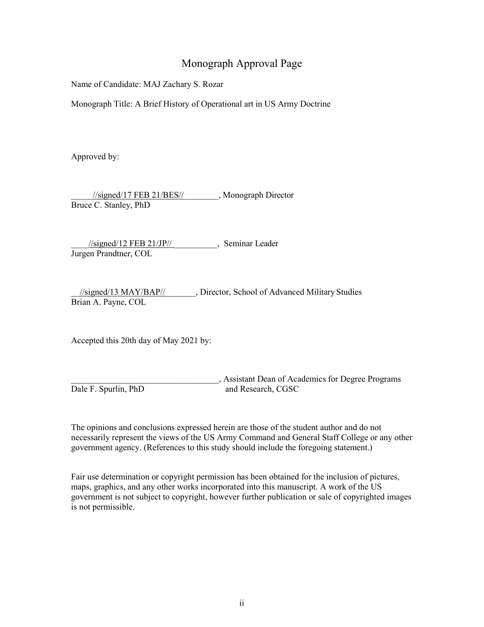### Monograph Approval Page

Name of Candidate: MAJ Zachary S. Rozar

Monograph Title: A Brief History of Operational art in US Army Doctrine

Approved by:

 $\frac{1}{\text{signed}}$ /17 FEB 21/BES// $\frac{1}{\text{Test}}$ , Monograph Director Bruce C. Stanley, PhD

 $\frac{1}{\text{signed}}$ /12 FEB 21/JP//  $\qquad \qquad$ , Seminar Leader Jurgen Prandtner, COL

\_\_//signed/13 MAY/BAP//\_\_\_\_\_\_\_, Director, School of Advanced Military Studies Brian A. Payne, COL

Accepted this 20th day of May 2021 by:

\_\_\_\_\_\_\_\_\_\_\_\_\_\_\_\_\_\_\_\_\_\_\_\_\_\_\_\_\_\_\_\_\_\_, Assistant Dean of Academics for Degree Programs Dale F. Spurlin, PhD and Research, CGSC

The opinions and conclusions expressed herein are those of the student author and do not necessarily represent the views of the US Army Command and General Staff College or any other government agency. (References to this study should include the foregoing statement.)

Fair use determination or copyright permission has been obtained for the inclusion of pictures, maps, graphics, and any other works incorporated into this manuscript. A work of the US government is not subject to copyright, however further publication or sale of copyrighted images is not permissible.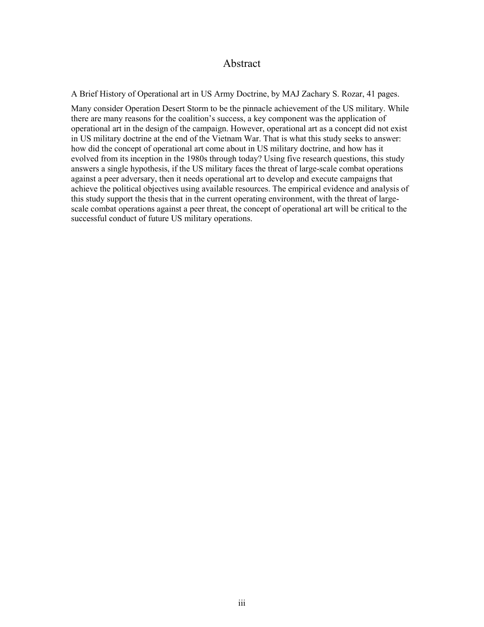#### Abstract

A Brief History of Operational art in US Army Doctrine, by MAJ Zachary S. Rozar, 41 pages.

Many consider Operation Desert Storm to be the pinnacle achievement of the US military. While there are many reasons for the coalition's success, a key component was the application of operational art in the design of the campaign. However, operational art as a concept did not exist in US military doctrine at the end of the Vietnam War. That is what this study seeks to answer: how did the concept of operational art come about in US military doctrine, and how has it evolved from its inception in the 1980s through today? Using five research questions, this study answers a single hypothesis, if the US military faces the threat of large-scale combat operations against a peer adversary, then it needs operational art to develop and execute campaigns that achieve the political objectives using available resources. The empirical evidence and analysis of this study support the thesis that in the current operating environment, with the threat of largescale combat operations against a peer threat, the concept of operational art will be critical to the successful conduct of future US military operations.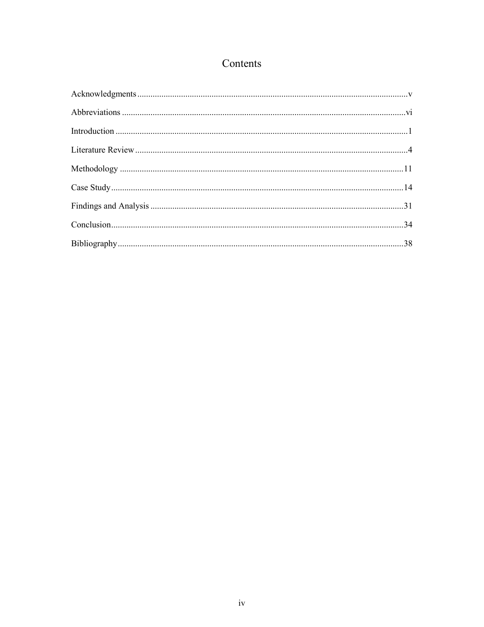## Contents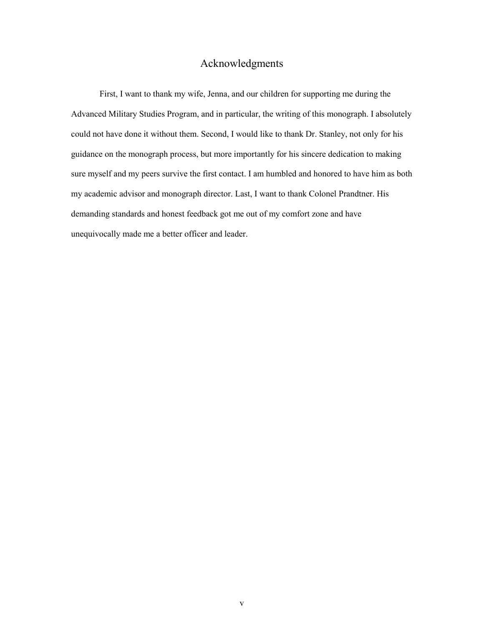### Acknowledgments

<span id="page-5-1"></span><span id="page-5-0"></span>First, I want to thank my wife, Jenna, and our children for supporting me during the Advanced Military Studies Program, and in particular, the writing of this monograph. I absolutely could not have done it without them. Second, I would like to thank Dr. Stanley, not only for his guidance on the monograph process, but more importantly for his sincere dedication to making sure myself and my peers survive the first contact. I am humbled and honored to have him as both my academic advisor and monograph director. Last, I want to thank Colonel Prandtner. His demanding standards and honest feedback got me out of my comfort zone and have unequivocally made me a better officer and leader.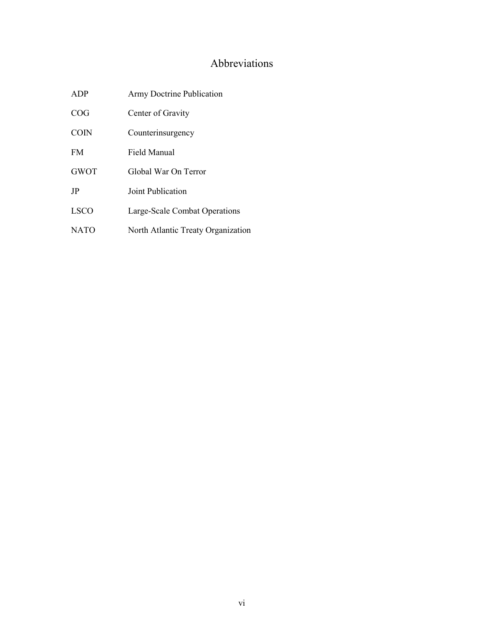## Abbreviations

| ADP         | Army Doctrine Publication          |
|-------------|------------------------------------|
| COG         | Center of Gravity                  |
| <b>COIN</b> | Counterinsurgency                  |
| <b>FM</b>   | Field Manual                       |
| <b>GWOT</b> | Global War On Terror               |
| JP          | Joint Publication                  |
| <b>LSCO</b> | Large-Scale Combat Operations      |
| <b>NATO</b> | North Atlantic Treaty Organization |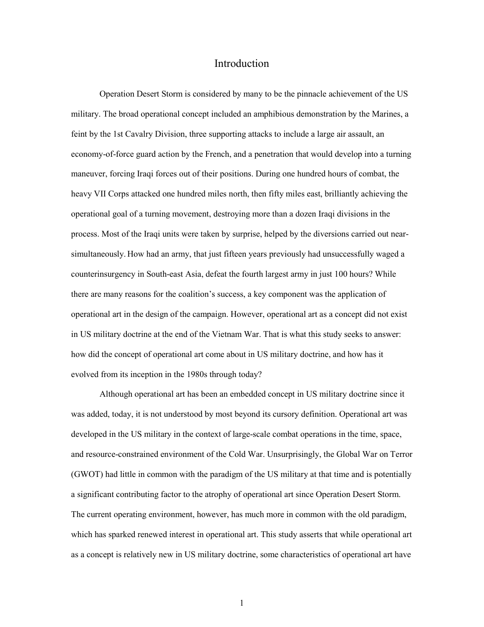#### Introduction

<span id="page-7-0"></span>Operation Desert Storm is considered by many to be the pinnacle achievement of the US military. The broad operational concept included an amphibious demonstration by the Marines, a feint by the 1st Cavalry Division, three supporting attacks to include a large air assault, an economy-of-force guard action by the French, and a penetration that would develop into a turning maneuver, forcing Iraqi forces out of their positions. During one hundred hours of combat, the heavy VII Corps attacked one hundred miles north, then fifty miles east, brilliantly achieving the operational goal of a turning movement, destroying more than a dozen Iraqi divisions in the process. Most of the Iraqi units were taken by surprise, helped by the diversions carried out nearsimultaneously. How had an army, that just fifteen years previously had unsuccessfully waged a counterinsurgency in South-east Asia, defeat the fourth largest army in just 100 hours? While there are many reasons for the coalition's success, a key component was the application of operational art in the design of the campaign. However, operational art as a concept did not exist in US military doctrine at the end of the Vietnam War. That is what this study seeks to answer: how did the concept of operational art come about in US military doctrine, and how has it evolved from its inception in the 1980s through today?

Although operational art has been an embedded concept in US military doctrine since it was added, today, it is not understood by most beyond its cursory definition. Operational art was developed in the US military in the context of large-scale combat operations in the time, space, and resource-constrained environment of the Cold War. Unsurprisingly, the Global War on Terror (GWOT) had little in common with the paradigm of the US military at that time and is potentially a significant contributing factor to the atrophy of operational art since Operation Desert Storm. The current operating environment, however, has much more in common with the old paradigm, which has sparked renewed interest in operational art. This study asserts that while operational art as a concept is relatively new in US military doctrine, some characteristics of operational art have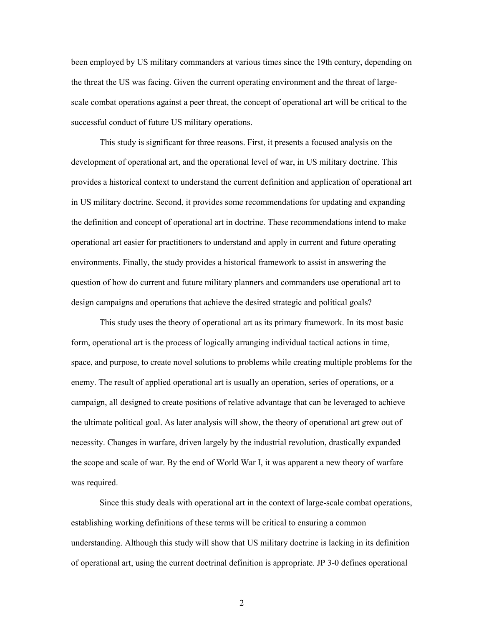been employed by US military commanders at various times since the 19th century, depending on the threat the US was facing. Given the current operating environment and the threat of largescale combat operations against a peer threat, the concept of operational art will be critical to the successful conduct of future US military operations.

This study is significant for three reasons. First, it presents a focused analysis on the development of operational art, and the operational level of war, in US military doctrine. This provides a historical context to understand the current definition and application of operational art in US military doctrine. Second, it provides some recommendations for updating and expanding the definition and concept of operational art in doctrine. These recommendations intend to make operational art easier for practitioners to understand and apply in current and future operating environments. Finally, the study provides a historical framework to assist in answering the question of how do current and future military planners and commanders use operational art to design campaigns and operations that achieve the desired strategic and political goals?

This study uses the theory of operational art as its primary framework. In its most basic form, operational art is the process of logically arranging individual tactical actions in time, space, and purpose, to create novel solutions to problems while creating multiple problems for the enemy. The result of applied operational art is usually an operation, series of operations, or a campaign, all designed to create positions of relative advantage that can be leveraged to achieve the ultimate political goal. As later analysis will show, the theory of operational art grew out of necessity. Changes in warfare, driven largely by the industrial revolution, drastically expanded the scope and scale of war. By the end of World War I, it was apparent a new theory of warfare was required.

Since this study deals with operational art in the context of large-scale combat operations, establishing working definitions of these terms will be critical to ensuring a common understanding. Although this study will show that US military doctrine is lacking in its definition of operational art, using the current doctrinal definition is appropriate. JP 3-0 defines operational

2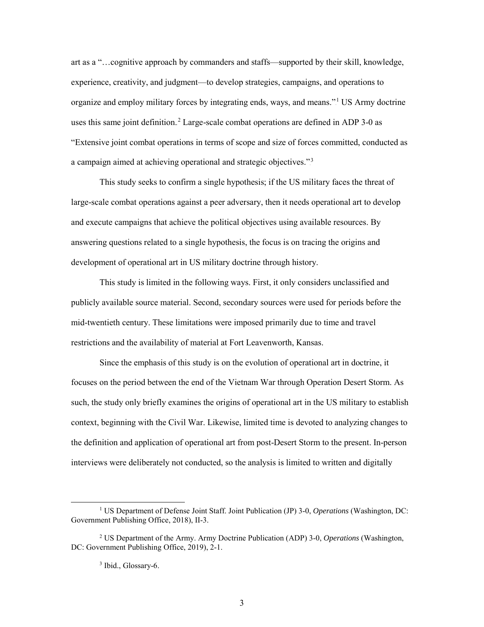art as a "…cognitive approach by commanders and staffs—supported by their skill, knowledge, experience, creativity, and judgment—to develop strategies, campaigns, and operations to organize and employ military forces by integrating ends, ways, and means."<sup>1</sup> US Army doctrine uses this same joint definition.<sup>2</sup> Large-scale combat operations are defined in ADP 3-0 as "Extensive joint combat operations in terms of scope and size of forces committed, conducted as a campaign aimed at achieving operational and strategic objectives."<sup>3</sup>

This study seeks to confirm a single hypothesis; if the US military faces the threat of large-scale combat operations against a peer adversary, then it needs operational art to develop and execute campaigns that achieve the political objectives using available resources. By answering questions related to a single hypothesis, the focus is on tracing the origins and development of operational art in US military doctrine through history.

This study is limited in the following ways. First, it only considers unclassified and publicly available source material. Second, secondary sources were used for periods before the mid-twentieth century. These limitations were imposed primarily due to time and travel restrictions and the availability of material at Fort Leavenworth, Kansas.

Since the emphasis of this study is on the evolution of operational art in doctrine, it focuses on the period between the end of the Vietnam War through Operation Desert Storm. As such, the study only briefly examines the origins of operational art in the US military to establish context, beginning with the Civil War. Likewise, limited time is devoted to analyzing changes to the definition and application of operational art from post-Desert Storm to the present. In-person interviews were deliberately not conducted, so the analysis is limited to written and digitally

 <sup>1</sup> US Department of Defense Joint Staff. Joint Publication (JP) 3-0, *Operations* (Washington, DC: Government Publishing Office, 2018), II-3.

<sup>2</sup> US Department of the Army. Army Doctrine Publication (ADP) 3-0, *Operations* (Washington, DC: Government Publishing Office, 2019), 2-1.

<sup>&</sup>lt;sup>3</sup> Ibid., Glossary-6.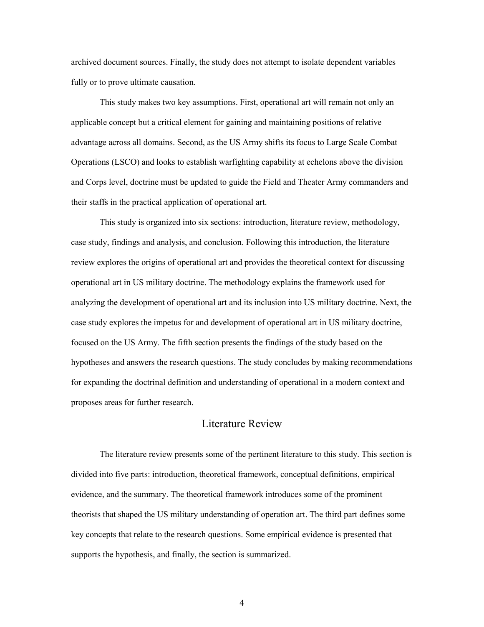archived document sources. Finally, the study does not attempt to isolate dependent variables fully or to prove ultimate causation.

This study makes two key assumptions. First, operational art will remain not only an applicable concept but a critical element for gaining and maintaining positions of relative advantage across all domains. Second, as the US Army shifts its focus to Large Scale Combat Operations (LSCO) and looks to establish warfighting capability at echelons above the division and Corps level, doctrine must be updated to guide the Field and Theater Army commanders and their staffs in the practical application of operational art.

<span id="page-10-0"></span>This study is organized into six sections: introduction, literature review, methodology, case study, findings and analysis, and conclusion. Following this introduction, the literature review explores the origins of operational art and provides the theoretical context for discussing operational art in US military doctrine. The methodology explains the framework used for analyzing the development of operational art and its inclusion into US military doctrine. Next, the case study explores the impetus for and development of operational art in US military doctrine, focused on the US Army. The fifth section presents the findings of the study based on the hypotheses and answers the research questions. The study concludes by making recommendations for expanding the doctrinal definition and understanding of operational in a modern context and proposes areas for further research.

#### Literature Review

The literature review presents some of the pertinent literature to this study. This section is divided into five parts: introduction, theoretical framework, conceptual definitions, empirical evidence, and the summary. The theoretical framework introduces some of the prominent theorists that shaped the US military understanding of operation art. The third part defines some key concepts that relate to the research questions. Some empirical evidence is presented that supports the hypothesis, and finally, the section is summarized.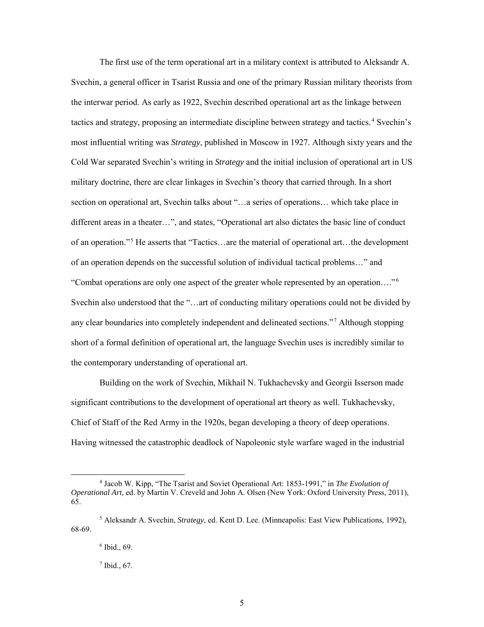The first use of the term operational art in a military context is attributed to Aleksandr A. Svechin, a general officer in Tsarist Russia and one of the primary Russian military theorists from the interwar period. As early as 1922, Svechin described operational art as the linkage between tactics and strategy, proposing an intermediate discipline between strategy and tactics.<sup>4</sup> Svechin's most influential writing was *Strategy*, published in Moscow in 1927. Although sixty years and the Cold War separated Svechin's writing in *Strategy* and the initial inclusion of operational art in US military doctrine, there are clear linkages in Svechin's theory that carried through. In a short section on operational art, Svechin talks about "…a series of operations… which take place in different areas in a theater…", and states, "Operational art also dictates the basic line of conduct of an operation."<sup>5</sup> He asserts that "Tactics...are the material of operational art...the development of an operation depends on the successful solution of individual tactical problems…" and "Combat operations are only one aspect of the greater whole represented by an operation...."<sup>6</sup> Svechin also understood that the "…art of conducting military operations could not be divided by any clear boundaries into completely independent and delineated sections."<sup>7</sup> Although stopping short of a formal definition of operational art, the language Svechin uses is incredibly similar to the contemporary understanding of operational art.

Building on the work of Svechin, Mikhail N. Tukhachevsky and Georgii Isserson made significant contributions to the development of operational art theory as well. Tukhachevsky, Chief of Staff of the Red Army in the 1920s, began developing a theory of deep operations. Having witnessed the catastrophic deadlock of Napoleonic style warfare waged in the industrial

 <sup>4</sup> Jacob W. Kipp, "The Tsarist and Soviet Operational Art: 1853-1991," in *The Evolution of Operational Art,* ed. by Martin V. Creveld and John A. Olsen (New York: Oxford University Press, 2011), 65.

<sup>5</sup> Aleksandr A. Svechin, *Strategy*, ed. Kent D. Lee. (Minneapolis: East View Publications, 1992), 68-69.

<sup>6</sup> Ibid., 69.

 $7$  Ibid., 67.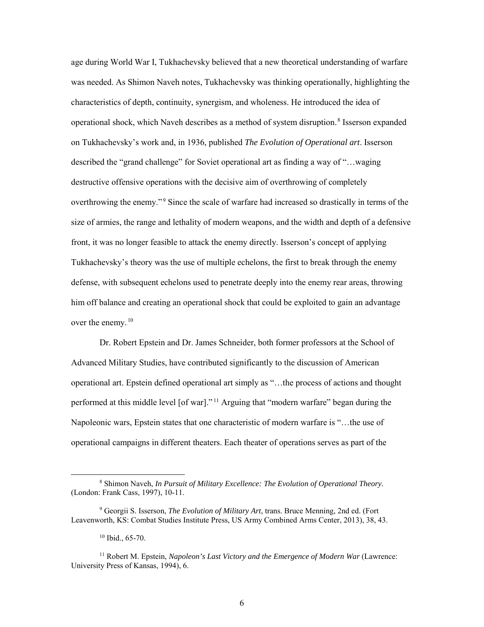age during World War I, Tukhachevsky believed that a new theoretical understanding of warfare was needed. As Shimon Naveh notes, Tukhachevsky was thinking operationally, highlighting the characteristics of depth, continuity, synergism, and wholeness. He introduced the idea of operational shock, which Naveh describes as a method of system disruption.<sup>8</sup> Isserson expanded on Tukhachevsky's work and, in 1936, published *The Evolution of Operational art*. Isserson described the "grand challenge" for Soviet operational art as finding a way of "…waging destructive offensive operations with the decisive aim of overthrowing of completely overthrowing the enemy."<sup>9</sup> Since the scale of warfare had increased so drastically in terms of the size of armies, the range and lethality of modern weapons, and the width and depth of a defensive front, it was no longer feasible to attack the enemy directly. Isserson's concept of applying Tukhachevsky's theory was the use of multiple echelons, the first to break through the enemy defense, with subsequent echelons used to penetrate deeply into the enemy rear areas, throwing him off balance and creating an operational shock that could be exploited to gain an advantage over the enemy. $10$ 

Dr. Robert Epstein and Dr. James Schneider, both former professors at the School of Advanced Military Studies, have contributed significantly to the discussion of American operational art. Epstein defined operational art simply as "…the process of actions and thought performed at this middle level [of war]."<sup>11</sup> Arguing that "modern warfare" began during the Napoleonic wars, Epstein states that one characteristic of modern warfare is "…the use of operational campaigns in different theaters. Each theater of operations serves as part of the

 <sup>8</sup> Shimon Naveh, *In Pursuit of Military Excellence: The Evolution of Operational Theory.*  (London: Frank Cass, 1997), 10-11.

<sup>9</sup> Georgii S. Isserson, *The Evolution of Military Art*, trans. Bruce Menning, 2nd ed. (Fort Leavenworth, KS: Combat Studies Institute Press, US Army Combined Arms Center, 2013), 38, 43.

<sup>10</sup> Ibid., 65-70.

<sup>&</sup>lt;sup>11</sup> Robert M. Epstein, *Napoleon's Last Victory and the Emergence of Modern War* (Lawrence: University Press of Kansas, 1994), 6.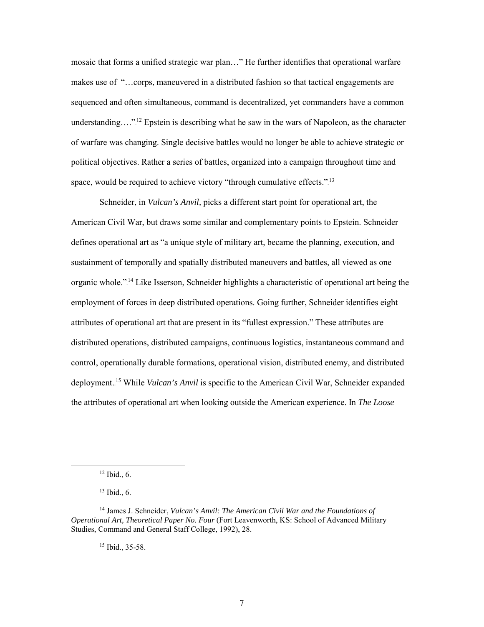mosaic that forms a unified strategic war plan…" He further identifies that operational warfare makes use of "…corps, maneuvered in a distributed fashion so that tactical engagements are sequenced and often simultaneous, command is decentralized, yet commanders have a common understanding...."<sup>12</sup> Epstein is describing what he saw in the wars of Napoleon, as the character of warfare was changing. Single decisive battles would no longer be able to achieve strategic or political objectives. Rather a series of battles, organized into a campaign throughout time and space, would be required to achieve victory "through cumulative effects."<sup>13</sup>

Schneider, in *Vulcan's Anvil,* picks a different start point for operational art, the American Civil War, but draws some similar and complementary points to Epstein. Schneider defines operational art as "a unique style of military art, became the planning, execution, and sustainment of temporally and spatially distributed maneuvers and battles, all viewed as one organic whole."<sup>14</sup> Like Isserson, Schneider highlights a characteristic of operational art being the employment of forces in deep distributed operations. Going further, Schneider identifies eight attributes of operational art that are present in its "fullest expression." These attributes are distributed operations, distributed campaigns, continuous logistics, instantaneous command and control, operationally durable formations, operational vision, distributed enemy, and distributed deployment.<sup>15</sup> While *Vulcan's Anvil* is specific to the American Civil War, Schneider expanded the attributes of operational art when looking outside the American experience. In *The Loose* 

<sup>15</sup> Ibid., 35-58.

 $12$  Ibid., 6.

<sup>13</sup> Ibid., 6.

<sup>14</sup> James J. Schneider, *Vulcan's Anvil: The American Civil War and the Foundations of Operational Art, Theoretical Paper No. Four* (Fort Leavenworth, KS: School of Advanced Military Studies, Command and General Staff College, 1992), 28.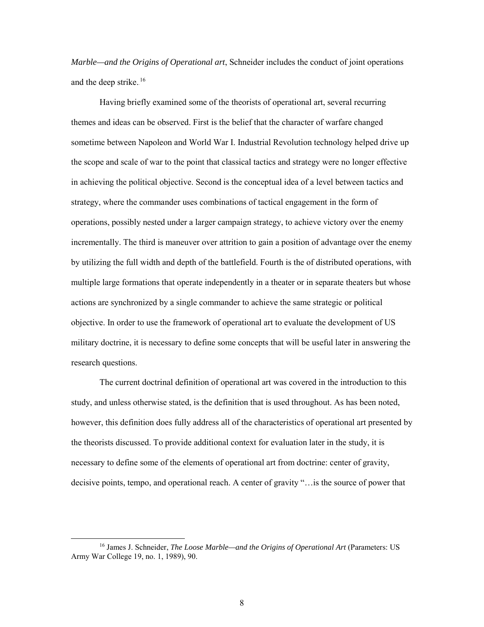*Marble—and the Origins of Operational art*, Schneider includes the conduct of joint operations and the deep strike.<sup>16</sup>

Having briefly examined some of the theorists of operational art, several recurring themes and ideas can be observed. First is the belief that the character of warfare changed sometime between Napoleon and World War I. Industrial Revolution technology helped drive up the scope and scale of war to the point that classical tactics and strategy were no longer effective in achieving the political objective. Second is the conceptual idea of a level between tactics and strategy, where the commander uses combinations of tactical engagement in the form of operations, possibly nested under a larger campaign strategy, to achieve victory over the enemy incrementally. The third is maneuver over attrition to gain a position of advantage over the enemy by utilizing the full width and depth of the battlefield. Fourth is the of distributed operations, with multiple large formations that operate independently in a theater or in separate theaters but whose actions are synchronized by a single commander to achieve the same strategic or political objective. In order to use the framework of operational art to evaluate the development of US military doctrine, it is necessary to define some concepts that will be useful later in answering the research questions.

The current doctrinal definition of operational art was covered in the introduction to this study, and unless otherwise stated, is the definition that is used throughout. As has been noted, however, this definition does fully address all of the characteristics of operational art presented by the theorists discussed. To provide additional context for evaluation later in the study, it is necessary to define some of the elements of operational art from doctrine: center of gravity, decisive points, tempo, and operational reach. A center of gravity "…is the source of power that

 <sup>16</sup> James J. Schneider, *The Loose Marble—and the Origins of Operational Art* (Parameters: US Army War College 19, no. 1, 1989), 90.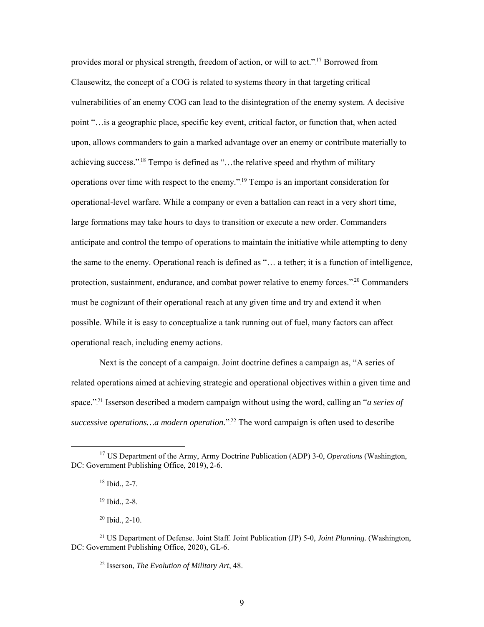provides moral or physical strength, freedom of action, or will to act."<sup>17</sup> Borrowed from Clausewitz, the concept of a COG is related to systems theory in that targeting critical vulnerabilities of an enemy COG can lead to the disintegration of the enemy system. A decisive point "…is a geographic place, specific key event, critical factor, or function that, when acted upon, allows commanders to gain a marked advantage over an enemy or contribute materially to achieving success."<sup>18</sup> Tempo is defined as "...the relative speed and rhythm of military operations over time with respect to the enemy."<sup>19</sup> Tempo is an important consideration for operational-level warfare. While a company or even a battalion can react in a very short time, large formations may take hours to days to transition or execute a new order. Commanders anticipate and control the tempo of operations to maintain the initiative while attempting to deny the same to the enemy. Operational reach is defined as "… a tether; it is a function of intelligence, protection, sustainment, endurance, and combat power relative to enemy forces."<sup>20</sup> Commanders must be cognizant of their operational reach at any given time and try and extend it when possible. While it is easy to conceptualize a tank running out of fuel, many factors can affect operational reach, including enemy actions.

Next is the concept of a campaign. Joint doctrine defines a campaign as, "A series of related operations aimed at achieving strategic and operational objectives within a given time and space."<sup>21</sup> Isserson described a modern campaign without using the word, calling an "*a series of* successive operations... a modern operation."<sup>22</sup> The word campaign is often used to describe

 <sup>17</sup> US Department of the Army, Army Doctrine Publication (ADP) 3-0, *Operations* (Washington, DC: Government Publishing Office, 2019), 2-6.

<sup>18</sup> Ibid., 2-7.

<sup>19</sup> Ibid., 2-8.

<sup>20</sup> Ibid., 2-10.

<sup>21</sup> US Department of Defense. Joint Staff. Joint Publication (JP) 5-0, *Joint Planning.* (Washington, DC: Government Publishing Office, 2020), GL-6.

<sup>22</sup> Isserson, *The Evolution of Military Art*, 48.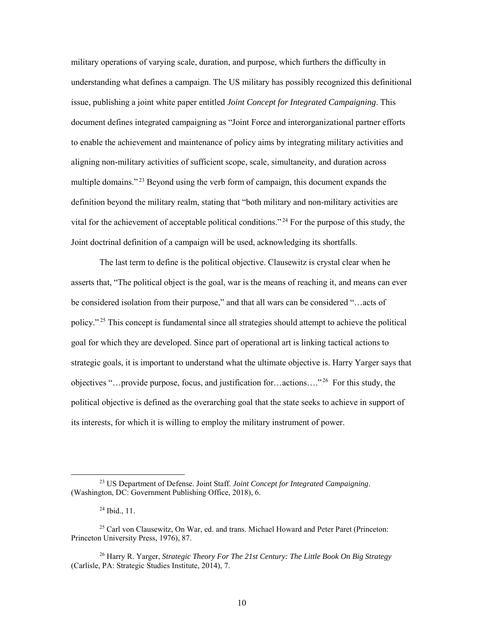military operations of varying scale, duration, and purpose, which furthers the difficulty in understanding what defines a campaign. The US military has possibly recognized this definitional issue, publishing a joint white paper entitled *Joint Concept for Integrated Campaigning*. This document defines integrated campaigning as "Joint Force and interorganizational partner efforts to enable the achievement and maintenance of policy aims by integrating military activities and aligning non-military activities of sufficient scope, scale, simultaneity, and duration across multiple domains."<sup>23</sup> Beyond using the verb form of campaign, this document expands the definition beyond the military realm, stating that "both military and non-military activities are vital for the achievement of acceptable political conditions."<sup>24</sup> For the purpose of this study, the Joint doctrinal definition of a campaign will be used, acknowledging its shortfalls.

The last term to define is the political objective. Clausewitz is crystal clear when he asserts that, "The political object is the goal, war is the means of reaching it, and means can ever be considered isolation from their purpose," and that all wars can be considered "…acts of policy."<sup>25</sup> This concept is fundamental since all strategies should attempt to achieve the political goal for which they are developed. Since part of operational art is linking tactical actions to strategic goals, it is important to understand what the ultimate objective is. Harry Yarger says that objectives "...provide purpose, focus, and justification for...actions...."<sup>26</sup> For this study, the political objective is defined as the overarching goal that the state seeks to achieve in support of its interests, for which it is willing to employ the military instrument of power.

 <sup>23</sup> US Department of Defense. Joint Staff. *Joint Concept for Integrated Campaigning*. (Washington, DC: Government Publishing Office, 2018), 6.

 $^{24}$  Ibid., 11.

<sup>&</sup>lt;sup>25</sup> Carl von Clausewitz, On War, ed. and trans. Michael Howard and Peter Paret (Princeton: Princeton University Press, 1976), 87.

<sup>26</sup> Harry R. Yarger, *Strategic Theory For The 21st Century: The Little Book On Big Strategy*  (Carlisle, PA: Strategic Studies Institute, 2014), 7.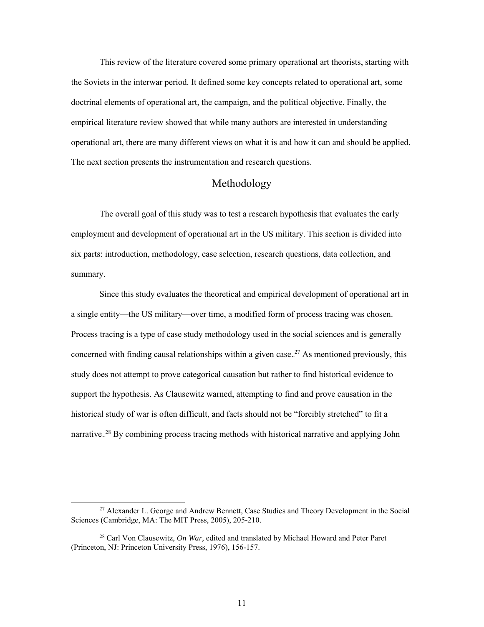This review of the literature covered some primary operational art theorists, starting with the Soviets in the interwar period. It defined some key concepts related to operational art, some doctrinal elements of operational art, the campaign, and the political objective. Finally, the empirical literature review showed that while many authors are interested in understanding operational art, there are many different views on what it is and how it can and should be applied. The next section presents the instrumentation and research questions.

#### Methodology

<span id="page-17-0"></span>The overall goal of this study was to test a research hypothesis that evaluates the early employment and development of operational art in the US military. This section is divided into six parts: introduction, methodology, case selection, research questions, data collection, and summary.

Since this study evaluates the theoretical and empirical development of operational art in a single entity—the US military—over time, a modified form of process tracing was chosen. Process tracing is a type of case study methodology used in the social sciences and is generally concerned with finding causal relationships within a given case.<sup>27</sup> As mentioned previously, this study does not attempt to prove categorical causation but rather to find historical evidence to support the hypothesis. As Clausewitz warned, attempting to find and prove causation in the historical study of war is often difficult, and facts should not be "forcibly stretched" to fit a narrative.<sup>28</sup> By combining process tracing methods with historical narrative and applying John

<sup>&</sup>lt;sup>27</sup> Alexander L. George and Andrew Bennett, Case Studies and Theory Development in the Social Sciences (Cambridge, MA: The MIT Press, 2005), 205-210.

<sup>28</sup> Carl Von Clausewitz, *On War,* edited and translated by Michael Howard and Peter Paret (Princeton, NJ: Princeton University Press, 1976), 156-157.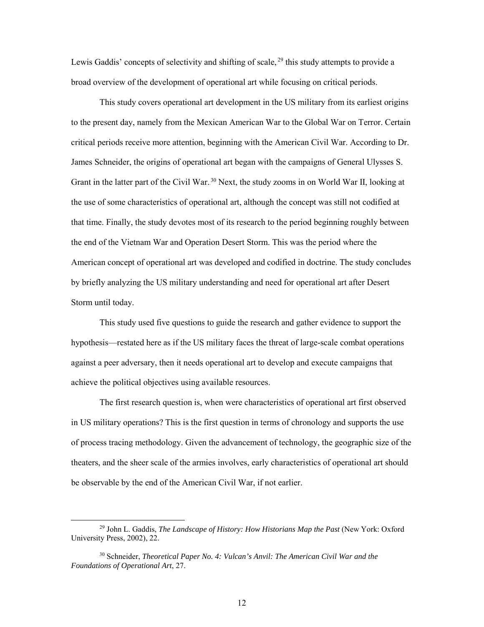Lewis Gaddis' concepts of selectivity and shifting of scale,  $^{29}$  this study attempts to provide a broad overview of the development of operational art while focusing on critical periods.

This study covers operational art development in the US military from its earliest origins to the present day, namely from the Mexican American War to the Global War on Terror. Certain critical periods receive more attention, beginning with the American Civil War. According to Dr. James Schneider, the origins of operational art began with the campaigns of General Ulysses S. Grant in the latter part of the Civil War.<sup>30</sup> Next, the study zooms in on World War II, looking at the use of some characteristics of operational art, although the concept was still not codified at that time. Finally, the study devotes most of its research to the period beginning roughly between the end of the Vietnam War and Operation Desert Storm. This was the period where the American concept of operational art was developed and codified in doctrine. The study concludes by briefly analyzing the US military understanding and need for operational art after Desert Storm until today.

This study used five questions to guide the research and gather evidence to support the hypothesis—restated here as if the US military faces the threat of large-scale combat operations against a peer adversary, then it needs operational art to develop and execute campaigns that achieve the political objectives using available resources.

The first research question is, when were characteristics of operational art first observed in US military operations? This is the first question in terms of chronology and supports the use of process tracing methodology. Given the advancement of technology, the geographic size of the theaters, and the sheer scale of the armies involves, early characteristics of operational art should be observable by the end of the American Civil War, if not earlier.

 <sup>29</sup> John L. Gaddis, *The Landscape of History: How Historians Map the Past* (New York: Oxford University Press, 2002), 22.

<sup>30</sup> Schneider, *Theoretical Paper No. 4: Vulcan's Anvil: The American Civil War and the Foundations of Operational Art*, 27.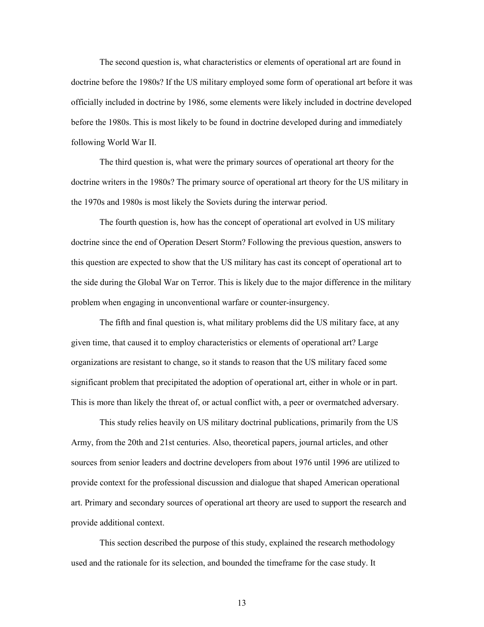The second question is, what characteristics or elements of operational art are found in doctrine before the 1980s? If the US military employed some form of operational art before it was officially included in doctrine by 1986, some elements were likely included in doctrine developed before the 1980s. This is most likely to be found in doctrine developed during and immediately following World War II.

The third question is, what were the primary sources of operational art theory for the doctrine writers in the 1980s? The primary source of operational art theory for the US military in the 1970s and 1980s is most likely the Soviets during the interwar period.

The fourth question is, how has the concept of operational art evolved in US military doctrine since the end of Operation Desert Storm? Following the previous question, answers to this question are expected to show that the US military has cast its concept of operational art to the side during the Global War on Terror. This is likely due to the major difference in the military problem when engaging in unconventional warfare or counter-insurgency.

The fifth and final question is, what military problems did the US military face, at any given time, that caused it to employ characteristics or elements of operational art? Large organizations are resistant to change, so it stands to reason that the US military faced some significant problem that precipitated the adoption of operational art, either in whole or in part. This is more than likely the threat of, or actual conflict with, a peer or overmatched adversary.

This study relies heavily on US military doctrinal publications, primarily from the US Army, from the 20th and 21st centuries. Also, theoretical papers, journal articles, and other sources from senior leaders and doctrine developers from about 1976 until 1996 are utilized to provide context for the professional discussion and dialogue that shaped American operational art. Primary and secondary sources of operational art theory are used to support the research and provide additional context.

This section described the purpose of this study, explained the research methodology used and the rationale for its selection, and bounded the timeframe for the case study. It

13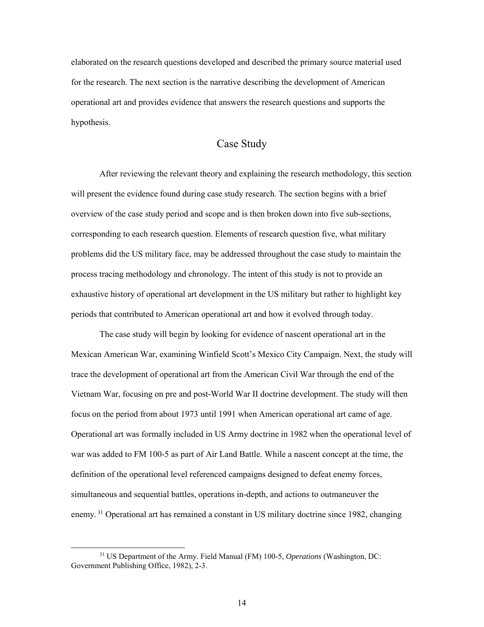elaborated on the research questions developed and described the primary source material used for the research. The next section is the narrative describing the development of American operational art and provides evidence that answers the research questions and supports the hypothesis.

#### Case Study

<span id="page-20-0"></span>After reviewing the relevant theory and explaining the research methodology, this section will present the evidence found during case study research. The section begins with a brief overview of the case study period and scope and is then broken down into five sub-sections, corresponding to each research question. Elements of research question five, what military problems did the US military face, may be addressed throughout the case study to maintain the process tracing methodology and chronology. The intent of this study is not to provide an exhaustive history of operational art development in the US military but rather to highlight key periods that contributed to American operational art and how it evolved through today.

The case study will begin by looking for evidence of nascent operational art in the Mexican American War, examining Winfield Scott's Mexico City Campaign. Next, the study will trace the development of operational art from the American Civil War through the end of the Vietnam War, focusing on pre and post-World War II doctrine development. The study will then focus on the period from about 1973 until 1991 when American operational art came of age. Operational art was formally included in US Army doctrine in 1982 when the operational level of war was added to FM 100-5 as part of Air Land Battle. While a nascent concept at the time, the definition of the operational level referenced campaigns designed to defeat enemy forces, simultaneous and sequential battles, operations in-depth, and actions to outmaneuver the enemy.<sup>31</sup> Operational art has remained a constant in US military doctrine since 1982, changing

 <sup>31</sup> US Department of the Army. Field Manual (FM) 100-5, *Operations* (Washington, DC: Government Publishing Office, 1982), 2-3.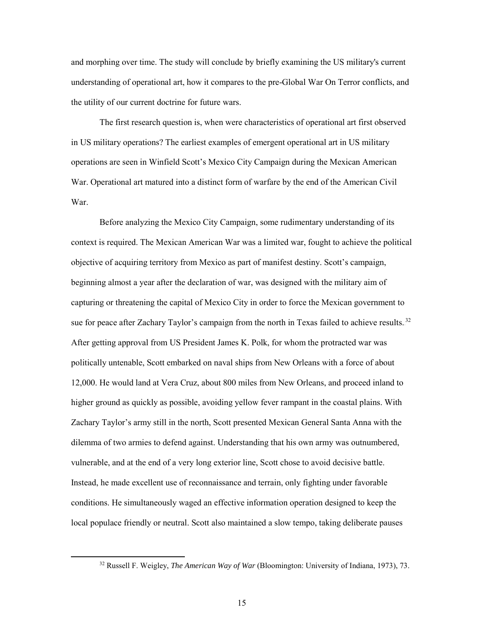and morphing over time. The study will conclude by briefly examining the US military's current understanding of operational art, how it compares to the pre-Global War On Terror conflicts, and the utility of our current doctrine for future wars.

The first research question is, when were characteristics of operational art first observed in US military operations? The earliest examples of emergent operational art in US military operations are seen in Winfield Scott's Mexico City Campaign during the Mexican American War. Operational art matured into a distinct form of warfare by the end of the American Civil War.

Before analyzing the Mexico City Campaign, some rudimentary understanding of its context is required. The Mexican American War was a limited war, fought to achieve the political objective of acquiring territory from Mexico as part of manifest destiny. Scott's campaign, beginning almost a year after the declaration of war, was designed with the military aim of capturing or threatening the capital of Mexico City in order to force the Mexican government to sue for peace after Zachary Taylor's campaign from the north in Texas failed to achieve results.<sup>32</sup> After getting approval from US President James K. Polk, for whom the protracted war was politically untenable, Scott embarked on naval ships from New Orleans with a force of about 12,000. He would land at Vera Cruz, about 800 miles from New Orleans, and proceed inland to higher ground as quickly as possible, avoiding yellow fever rampant in the coastal plains. With Zachary Taylor's army still in the north, Scott presented Mexican General Santa Anna with the dilemma of two armies to defend against. Understanding that his own army was outnumbered, vulnerable, and at the end of a very long exterior line, Scott chose to avoid decisive battle. Instead, he made excellent use of reconnaissance and terrain, only fighting under favorable conditions. He simultaneously waged an effective information operation designed to keep the local populace friendly or neutral. Scott also maintained a slow tempo, taking deliberate pauses

 <sup>32</sup> Russell F. Weigley, *The American Way of War* (Bloomington: University of Indiana, 1973), 73.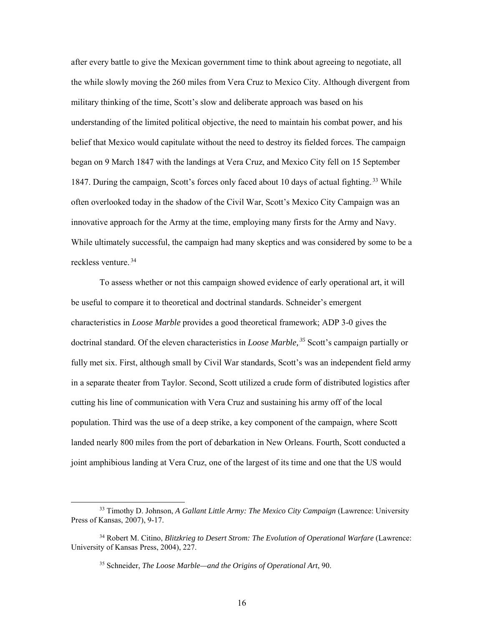after every battle to give the Mexican government time to think about agreeing to negotiate, all the while slowly moving the 260 miles from Vera Cruz to Mexico City. Although divergent from military thinking of the time, Scott's slow and deliberate approach was based on his understanding of the limited political objective, the need to maintain his combat power, and his belief that Mexico would capitulate without the need to destroy its fielded forces. The campaign began on 9 March 1847 with the landings at Vera Cruz, and Mexico City fell on 15 September 1847. During the campaign, Scott's forces only faced about 10 days of actual fighting.<sup>33</sup> While often overlooked today in the shadow of the Civil War, Scott's Mexico City Campaign was an innovative approach for the Army at the time, employing many firsts for the Army and Navy. While ultimately successful, the campaign had many skeptics and was considered by some to be a reckless venture.<sup>34</sup>

To assess whether or not this campaign showed evidence of early operational art, it will be useful to compare it to theoretical and doctrinal standards. Schneider's emergent characteristics in *Loose Marble* provides a good theoretical framework; ADP 3-0 gives the doctrinal standard. Of the eleven characteristics in *Loose Marble*,<sup>35</sup> Scott's campaign partially or fully met six. First, although small by Civil War standards, Scott's was an independent field army in a separate theater from Taylor. Second, Scott utilized a crude form of distributed logistics after cutting his line of communication with Vera Cruz and sustaining his army off of the local population. Third was the use of a deep strike, a key component of the campaign, where Scott landed nearly 800 miles from the port of debarkation in New Orleans. Fourth, Scott conducted a joint amphibious landing at Vera Cruz, one of the largest of its time and one that the US would

 <sup>33</sup> Timothy D. Johnson, *A Gallant Little Army: The Mexico City Campaign* (Lawrence: University Press of Kansas, 2007), 9-17.

<sup>34</sup> Robert M. Citino, *Blitzkrieg to Desert Strom: The Evolution of Operational Warfare* (Lawrence: University of Kansas Press, 2004), 227.

<sup>35</sup> Schneider, *The Loose Marble—and the Origins of Operational Art*, 90.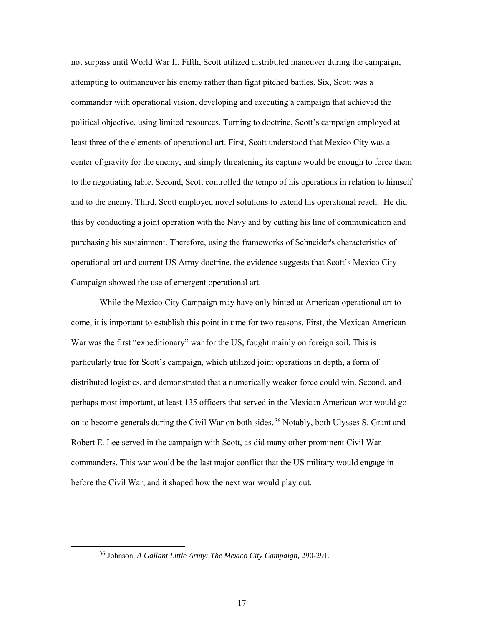not surpass until World War II. Fifth, Scott utilized distributed maneuver during the campaign, attempting to outmaneuver his enemy rather than fight pitched battles. Six, Scott was a commander with operational vision, developing and executing a campaign that achieved the political objective, using limited resources. Turning to doctrine, Scott's campaign employed at least three of the elements of operational art. First, Scott understood that Mexico City was a center of gravity for the enemy, and simply threatening its capture would be enough to force them to the negotiating table. Second, Scott controlled the tempo of his operations in relation to himself and to the enemy. Third, Scott employed novel solutions to extend his operational reach. He did this by conducting a joint operation with the Navy and by cutting his line of communication and purchasing his sustainment. Therefore, using the frameworks of Schneider's characteristics of operational art and current US Army doctrine, the evidence suggests that Scott's Mexico City Campaign showed the use of emergent operational art.

While the Mexico City Campaign may have only hinted at American operational art to come, it is important to establish this point in time for two reasons. First, the Mexican American War was the first "expeditionary" war for the US, fought mainly on foreign soil. This is particularly true for Scott's campaign, which utilized joint operations in depth, a form of distributed logistics, and demonstrated that a numerically weaker force could win. Second, and perhaps most important, at least 135 officers that served in the Mexican American war would go on to become generals during the Civil War on both sides.<sup>36</sup> Notably, both Ulysses S. Grant and Robert E. Lee served in the campaign with Scott, as did many other prominent Civil War commanders. This war would be the last major conflict that the US military would engage in before the Civil War, and it shaped how the next war would play out.

 <sup>36</sup> Johnson, *A Gallant Little Army: The Mexico City Campaign,* 290-291.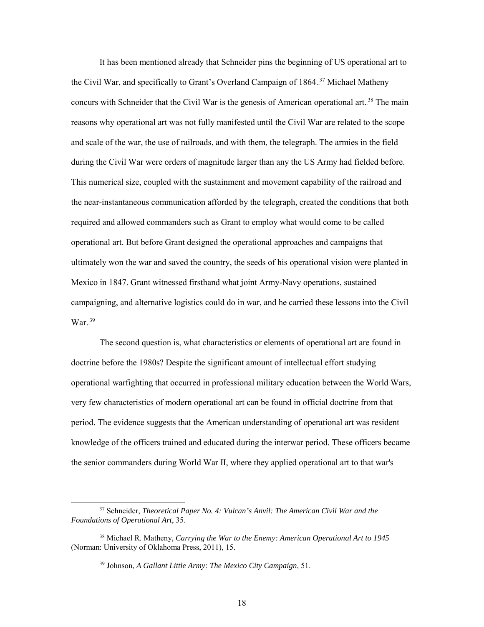It has been mentioned already that Schneider pins the beginning of US operational art to the Civil War, and specifically to Grant's Overland Campaign of 1864.<sup>37</sup> Michael Matheny concurs with Schneider that the Civil War is the genesis of American operational art.<sup>38</sup> The main reasons why operational art was not fully manifested until the Civil War are related to the scope and scale of the war, the use of railroads, and with them, the telegraph. The armies in the field during the Civil War were orders of magnitude larger than any the US Army had fielded before. This numerical size, coupled with the sustainment and movement capability of the railroad and the near-instantaneous communication afforded by the telegraph, created the conditions that both required and allowed commanders such as Grant to employ what would come to be called operational art. But before Grant designed the operational approaches and campaigns that ultimately won the war and saved the country, the seeds of his operational vision were planted in Mexico in 1847. Grant witnessed firsthand what joint Army-Navy operations, sustained campaigning, and alternative logistics could do in war, and he carried these lessons into the Civil  $\text{War.}^{39}$ 

The second question is, what characteristics or elements of operational art are found in doctrine before the 1980s? Despite the significant amount of intellectual effort studying operational warfighting that occurred in professional military education between the World Wars, very few characteristics of modern operational art can be found in official doctrine from that period. The evidence suggests that the American understanding of operational art was resident knowledge of the officers trained and educated during the interwar period. These officers became the senior commanders during World War II, where they applied operational art to that war's

 <sup>37</sup> Schneider, *Theoretical Paper No. 4: Vulcan's Anvil: The American Civil War and the Foundations of Operational Art*, 35.

<sup>38</sup> Michael R. Matheny, *Carrying the War to the Enemy: American Operational Art to 1945* (Norman: University of Oklahoma Press, 2011), 15.

<sup>39</sup> Johnson, *A Gallant Little Army: The Mexico City Campaign*, 51.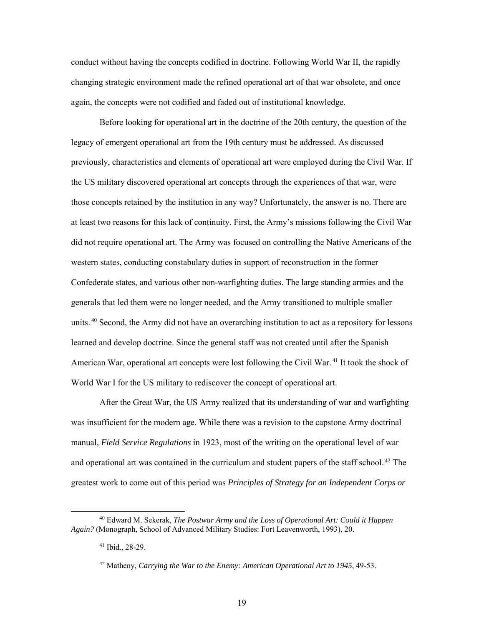conduct without having the concepts codified in doctrine. Following World War II, the rapidly changing strategic environment made the refined operational art of that war obsolete, and once again, the concepts were not codified and faded out of institutional knowledge.

Before looking for operational art in the doctrine of the 20th century, the question of the legacy of emergent operational art from the 19th century must be addressed. As discussed previously, characteristics and elements of operational art were employed during the Civil War. If the US military discovered operational art concepts through the experiences of that war, were those concepts retained by the institution in any way? Unfortunately, the answer is no. There are at least two reasons for this lack of continuity. First, the Army's missions following the Civil War did not require operational art. The Army was focused on controlling the Native Americans of the western states, conducting constabulary duties in support of reconstruction in the former Confederate states, and various other non-warfighting duties. The large standing armies and the generals that led them were no longer needed, and the Army transitioned to multiple smaller units.<sup>40</sup> Second, the Army did not have an overarching institution to act as a repository for lessons learned and develop doctrine. Since the general staff was not created until after the Spanish American War, operational art concepts were lost following the Civil War.<sup>41</sup> It took the shock of World War I for the US military to rediscover the concept of operational art.

After the Great War, the US Army realized that its understanding of war and warfighting was insufficient for the modern age. While there was a revision to the capstone Army doctrinal manual, *Field Service Regulations* in 1923, most of the writing on the operational level of war and operational art was contained in the curriculum and student papers of the staff school.<sup>42</sup> The greatest work to come out of this period was *Principles of Strategy for an Independent Corps or* 

 <sup>40</sup> Edward M. Sekerak, *The Postwar Army and the Loss of Operational Art: Could it Happen Again?* (Monograph, School of Advanced Military Studies: Fort Leavenworth, 1993), 20.

<sup>41</sup> Ibid., 28-29.

<sup>42</sup> Matheny, *Carrying the War to the Enemy: American Operational Art to 1945*, 49-53.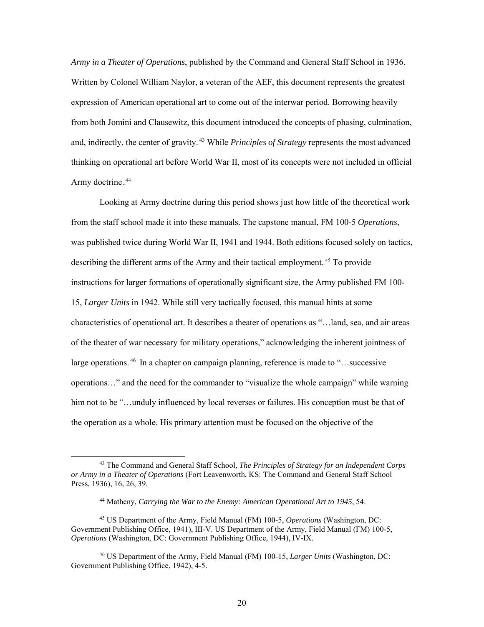*Army in a Theater of Operations*, published by the Command and General Staff School in 1936. Written by Colonel William Naylor, a veteran of the AEF, this document represents the greatest expression of American operational art to come out of the interwar period. Borrowing heavily from both Jomini and Clausewitz, this document introduced the concepts of phasing, culmination, and, indirectly, the center of gravity.<sup>43</sup> While *Principles of Strategy* represents the most advanced thinking on operational art before World War II, most of its concepts were not included in official Army doctrine.<sup>44</sup>

Looking at Army doctrine during this period shows just how little of the theoretical work from the staff school made it into these manuals. The capstone manual, FM 100-5 *Operations*, was published twice during World War II, 1941 and 1944. Both editions focused solely on tactics, describing the different arms of the Army and their tactical employment.<sup>45</sup> To provide instructions for larger formations of operationally significant size, the Army published FM 100- 15, *Larger Units* in 1942. While still very tactically focused, this manual hints at some characteristics of operational art. It describes a theater of operations as "…land, sea, and air areas of the theater of war necessary for military operations," acknowledging the inherent jointness of large operations.<sup>46</sup> In a chapter on campaign planning, reference is made to "...successive operations…" and the need for the commander to "visualize the whole campaign" while warning him not to be "...unduly influenced by local reverses or failures. His conception must be that of the operation as a whole. His primary attention must be focused on the objective of the

 <sup>43</sup> The Command and General Staff School, *The Principles of Strategy for an Independent Corps or Army in a Theater of Operations* (Fort Leavenworth, KS: The Command and General Staff School Press, 1936), 16, 26, 39.

<sup>44</sup> Matheny, *Carrying the War to the Enemy: American Operational Art to 1945*, 54.

<sup>45</sup> US Department of the Army, Field Manual (FM) 100-5, *Operations* (Washington, DC: Government Publishing Office, 1941), III-V. US Department of the Army, Field Manual (FM) 100-5, *Operations* (Washington, DC: Government Publishing Office, 1944), IV-IX.

<sup>46</sup> US Department of the Army, Field Manual (FM) 100-15, *Larger Units* (Washington, DC: Government Publishing Office, 1942), 4-5.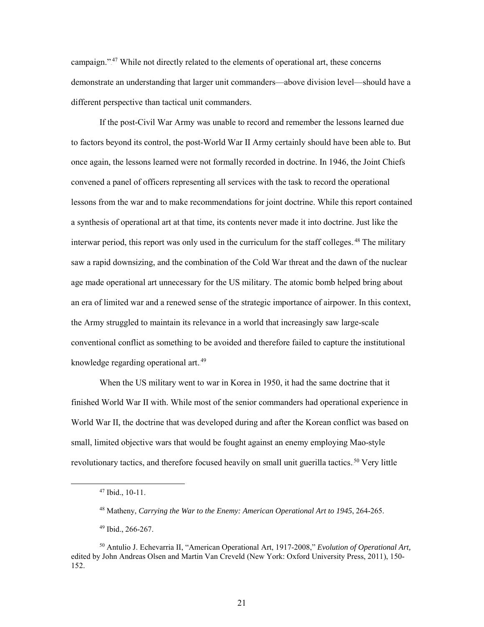campaign."<sup>47</sup> While not directly related to the elements of operational art, these concerns demonstrate an understanding that larger unit commanders—above division level—should have a different perspective than tactical unit commanders.

If the post-Civil War Army was unable to record and remember the lessons learned due to factors beyond its control, the post-World War II Army certainly should have been able to. But once again, the lessons learned were not formally recorded in doctrine. In 1946, the Joint Chiefs convened a panel of officers representing all services with the task to record the operational lessons from the war and to make recommendations for joint doctrine. While this report contained a synthesis of operational art at that time, its contents never made it into doctrine. Just like the interwar period, this report was only used in the curriculum for the staff colleges.<sup>48</sup> The military saw a rapid downsizing, and the combination of the Cold War threat and the dawn of the nuclear age made operational art unnecessary for the US military. The atomic bomb helped bring about an era of limited war and a renewed sense of the strategic importance of airpower. In this context, the Army struggled to maintain its relevance in a world that increasingly saw large-scale conventional conflict as something to be avoided and therefore failed to capture the institutional knowledge regarding operational art.<sup>49</sup>

When the US military went to war in Korea in 1950, it had the same doctrine that it finished World War II with. While most of the senior commanders had operational experience in World War II, the doctrine that was developed during and after the Korean conflict was based on small, limited objective wars that would be fought against an enemy employing Mao-style revolutionary tactics, and therefore focused heavily on small unit guerilla tactics.<sup>50</sup> Very little

21

 <sup>47</sup> Ibid., 10-11.

<sup>48</sup> Matheny, *Carrying the War to the Enemy: American Operational Art to 1945*, 264-265.

<sup>49</sup> Ibid., 266-267.

<sup>50</sup> Antulio J. Echevarria II, "American Operational Art, 1917-2008," *Evolution of Operational Art,*  edited by John Andreas Olsen and Martin Van Creveld (New York: Oxford University Press, 2011), 150- 152.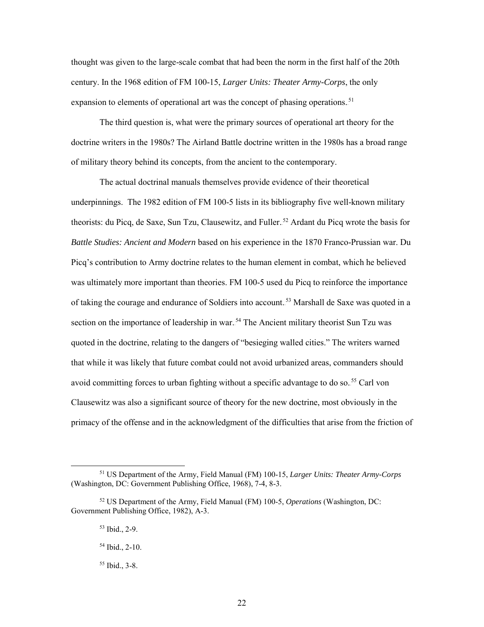thought was given to the large-scale combat that had been the norm in the first half of the 20th century. In the 1968 edition of FM 100-15, *Larger Units: Theater Army-Corps*, the only expansion to elements of operational art was the concept of phasing operations.<sup>51</sup>

The third question is, what were the primary sources of operational art theory for the doctrine writers in the 1980s? The Airland Battle doctrine written in the 1980s has a broad range of military theory behind its concepts, from the ancient to the contemporary.

The actual doctrinal manuals themselves provide evidence of their theoretical underpinnings. The 1982 edition of FM 100-5 lists in its bibliography five well-known military theorists: du Picq, de Saxe, Sun Tzu, Clausewitz, and Fuller.<sup>52</sup> Ardant du Picq wrote the basis for *Battle Studies: Ancient and Modern* based on his experience in the 1870 Franco-Prussian war. Du Picq's contribution to Army doctrine relates to the human element in combat, which he believed was ultimately more important than theories. FM 100-5 used du Picq to reinforce the importance of taking the courage and endurance of Soldiers into account.<sup>53</sup> Marshall de Saxe was quoted in a section on the importance of leadership in war.<sup>54</sup> The Ancient military theorist Sun Tzu was quoted in the doctrine, relating to the dangers of "besieging walled cities." The writers warned that while it was likely that future combat could not avoid urbanized areas, commanders should avoid committing forces to urban fighting without a specific advantage to do so.<sup>55</sup> Carl von Clausewitz was also a significant source of theory for the new doctrine, most obviously in the primacy of the offense and in the acknowledgment of the difficulties that arise from the friction of

 <sup>51</sup> US Department of the Army, Field Manual (FM) 100-15, *Larger Units: Theater Army-Corps* (Washington, DC: Government Publishing Office, 1968), 7-4, 8-3.

<sup>52</sup> US Department of the Army, Field Manual (FM) 100-5, *Operations* (Washington, DC: Government Publishing Office, 1982), A-3.

<sup>53</sup> Ibid., 2-9.

<sup>54</sup> Ibid., 2-10.

<sup>55</sup> Ibid., 3-8.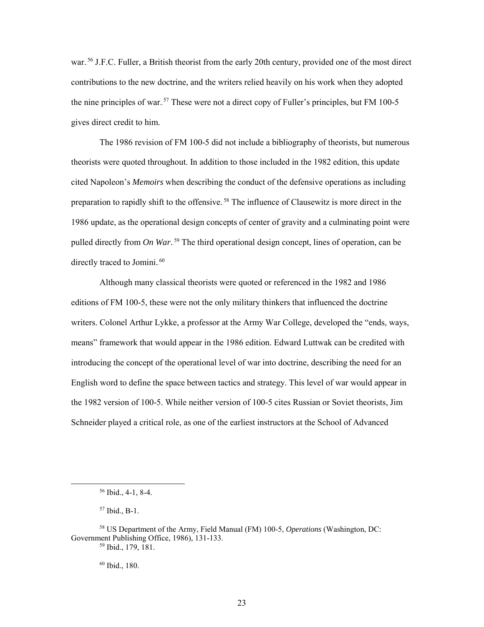war.<sup>56</sup> J.F.C. Fuller, a British theorist from the early 20th century, provided one of the most direct contributions to the new doctrine, and the writers relied heavily on his work when they adopted the nine principles of war.<sup>57</sup> These were not a direct copy of Fuller's principles, but FM 100-5 gives direct credit to him.

The 1986 revision of FM 100-5 did not include a bibliography of theorists, but numerous theorists were quoted throughout. In addition to those included in the 1982 edition, this update cited Napoleon's *Memoirs* when describing the conduct of the defensive operations as including preparation to rapidly shift to the offensive.<sup>58</sup> The influence of Clausewitz is more direct in the 1986 update, as the operational design concepts of center of gravity and a culminating point were pulled directly from *On War*.<sup>59</sup> The third operational design concept, lines of operation, can be directly traced to Jomini.<sup>60</sup>

Although many classical theorists were quoted or referenced in the 1982 and 1986 editions of FM 100-5, these were not the only military thinkers that influenced the doctrine writers. Colonel Arthur Lykke, a professor at the Army War College, developed the "ends, ways, means" framework that would appear in the 1986 edition. Edward Luttwak can be credited with introducing the concept of the operational level of war into doctrine, describing the need for an English word to define the space between tactics and strategy. This level of war would appear in the 1982 version of 100-5. While neither version of 100-5 cites Russian or Soviet theorists, Jim Schneider played a critical role, as one of the earliest instructors at the School of Advanced

 <sup>56</sup> Ibid., 4-1, 8-4.

<sup>57</sup> Ibid., B-1.

<sup>58</sup> US Department of the Army, Field Manual (FM) 100-5, *Operations* (Washington, DC: Government Publishing Office, 1986), 131-133.

<sup>59</sup> Ibid., 179, 181.

<sup>60</sup> Ibid., 180.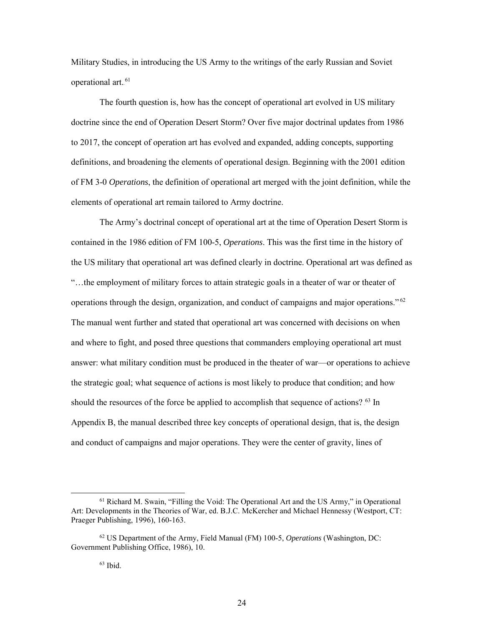Military Studies, in introducing the US Army to the writings of the early Russian and Soviet operational art.<sup>61</sup>

The fourth question is, how has the concept of operational art evolved in US military doctrine since the end of Operation Desert Storm? Over five major doctrinal updates from 1986 to 2017, the concept of operation art has evolved and expanded, adding concepts, supporting definitions, and broadening the elements of operational design. Beginning with the 2001 edition of FM 3-0 *Operations*, the definition of operational art merged with the joint definition, while the elements of operational art remain tailored to Army doctrine.

The Army's doctrinal concept of operational art at the time of Operation Desert Storm is contained in the 1986 edition of FM 100-5, *Operations*. This was the first time in the history of the US military that operational art was defined clearly in doctrine. Operational art was defined as "…the employment of military forces to attain strategic goals in a theater of war or theater of operations through the design, organization, and conduct of campaigns and major operations."<sup>62</sup> The manual went further and stated that operational art was concerned with decisions on when and where to fight, and posed three questions that commanders employing operational art must answer: what military condition must be produced in the theater of war—or operations to achieve the strategic goal; what sequence of actions is most likely to produce that condition; and how should the resources of the force be applied to accomplish that sequence of actions? <sup>63</sup> In Appendix B, the manual described three key concepts of operational design, that is, the design and conduct of campaigns and major operations. They were the center of gravity, lines of

 $61$  Richard M. Swain, "Filling the Void: The Operational Art and the US Army," in Operational Art: Developments in the Theories of War, ed. B.J.C. McKercher and Michael Hennessy (Westport, CT: Praeger Publishing, 1996), 160-163.

<sup>62</sup> US Department of the Army, Field Manual (FM) 100-5, *Operations* (Washington, DC: Government Publishing Office, 1986), 10.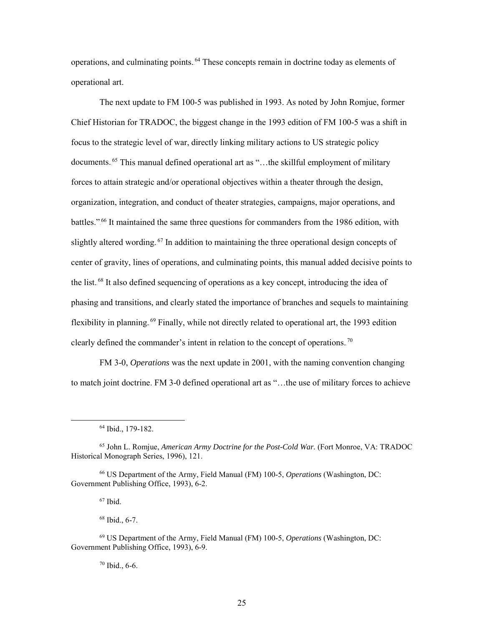operations, and culminating points.<sup>64</sup> These concepts remain in doctrine today as elements of operational art.

The next update to FM 100-5 was published in 1993. As noted by John Romjue, former Chief Historian for TRADOC, the biggest change in the 1993 edition of FM 100-5 was a shift in focus to the strategic level of war, directly linking military actions to US strategic policy documents.<sup>65</sup> This manual defined operational art as "...the skillful employment of military forces to attain strategic and/or operational objectives within a theater through the design, organization, integration, and conduct of theater strategies, campaigns, major operations, and battles."<sup>66</sup> It maintained the same three questions for commanders from the 1986 edition, with slightly altered wording.<sup>67</sup> In addition to maintaining the three operational design concepts of center of gravity, lines of operations, and culminating points, this manual added decisive points to the list.<sup>68</sup> It also defined sequencing of operations as a key concept, introducing the idea of phasing and transitions, and clearly stated the importance of branches and sequels to maintaining flexibility in planning.<sup>69</sup> Finally, while not directly related to operational art, the 1993 edition clearly defined the commander's intent in relation to the concept of operations.<sup>70</sup>

FM 3-0, *Operations* was the next update in 2001, with the naming convention changing to match joint doctrine. FM 3-0 defined operational art as "…the use of military forces to achieve

<sup>66</sup> US Department of the Army, Field Manual (FM) 100-5, *Operations* (Washington, DC: Government Publishing Office, 1993), 6-2.

 $67$  Ibid.

<sup>68</sup> Ibid., 6-7.

<sup>69</sup> US Department of the Army, Field Manual (FM) 100-5, *Operations* (Washington, DC: Government Publishing Office, 1993), 6-9.

<sup>70</sup> Ibid., 6-6.

 <sup>64</sup> Ibid., 179-182.

<sup>65</sup> John L. Romjue, *American Army Doctrine for the Post-Cold War.* (Fort Monroe, VA: TRADOC Historical Monograph Series, 1996), 121.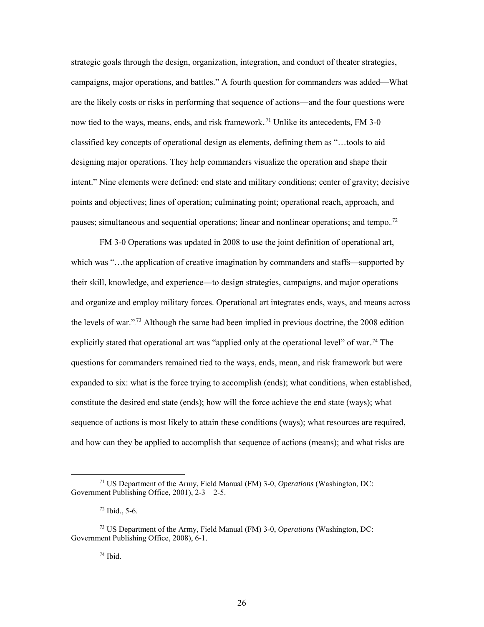strategic goals through the design, organization, integration, and conduct of theater strategies, campaigns, major operations, and battles." A fourth question for commanders was added—What are the likely costs or risks in performing that sequence of actions—and the four questions were now tied to the ways, means, ends, and risk framework.<sup>71</sup> Unlike its antecedents, FM 3-0 classified key concepts of operational design as elements, defining them as "…tools to aid designing major operations. They help commanders visualize the operation and shape their intent." Nine elements were defined: end state and military conditions; center of gravity; decisive points and objectives; lines of operation; culminating point; operational reach, approach, and pauses; simultaneous and sequential operations; linear and nonlinear operations; and tempo.<sup>72</sup>

FM 3-0 Operations was updated in 2008 to use the joint definition of operational art, which was "...the application of creative imagination by commanders and staffs—supported by their skill, knowledge, and experience—to design strategies, campaigns, and major operations and organize and employ military forces. Operational art integrates ends, ways, and means across the levels of war."<sup>73</sup> Although the same had been implied in previous doctrine, the 2008 edition explicitly stated that operational art was "applied only at the operational level" of war.<sup>74</sup> The questions for commanders remained tied to the ways, ends, mean, and risk framework but were expanded to six: what is the force trying to accomplish (ends); what conditions, when established, constitute the desired end state (ends); how will the force achieve the end state (ways); what sequence of actions is most likely to attain these conditions (ways); what resources are required, and how can they be applied to accomplish that sequence of actions (means); and what risks are

 <sup>71</sup> US Department of the Army, Field Manual (FM) 3-0, *Operations* (Washington, DC: Government Publishing Office, 2001), 2-3 – 2-5.

 $72$  Ibid., 5-6.

<sup>73</sup> US Department of the Army, Field Manual (FM) 3-0, *Operations* (Washington, DC: Government Publishing Office, 2008), 6-1.

<sup>74</sup> Ibid.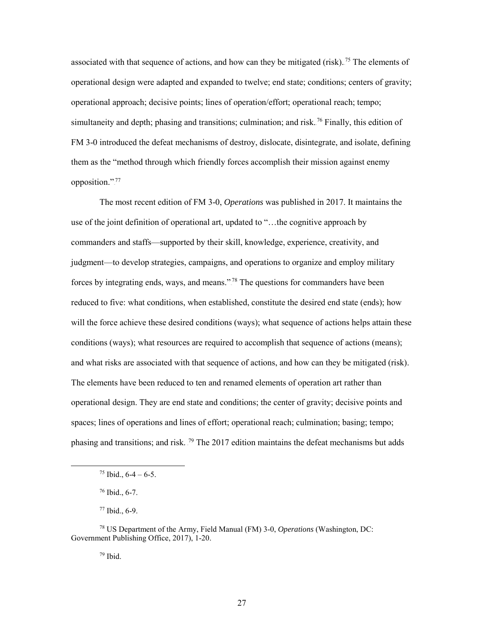associated with that sequence of actions, and how can they be mitigated (risk).<sup>75</sup> The elements of operational design were adapted and expanded to twelve; end state; conditions; centers of gravity; operational approach; decisive points; lines of operation/effort; operational reach; tempo; simultaneity and depth; phasing and transitions; culmination; and risk.<sup>76</sup> Finally, this edition of FM 3-0 introduced the defeat mechanisms of destroy, dislocate, disintegrate, and isolate, defining them as the "method through which friendly forces accomplish their mission against enemy opposition.".<sup>77</sup>

The most recent edition of FM 3-0, *Operations* was published in 2017. It maintains the use of the joint definition of operational art, updated to "…the cognitive approach by commanders and staffs—supported by their skill, knowledge, experience, creativity, and judgment—to develop strategies, campaigns, and operations to organize and employ military forces by integrating ends, ways, and means."<sup>78</sup> The questions for commanders have been reduced to five: what conditions, when established, constitute the desired end state (ends); how will the force achieve these desired conditions (ways); what sequence of actions helps attain these conditions (ways); what resources are required to accomplish that sequence of actions (means); and what risks are associated with that sequence of actions, and how can they be mitigated (risk). The elements have been reduced to ten and renamed elements of operation art rather than operational design. They are end state and conditions; the center of gravity; decisive points and spaces; lines of operations and lines of effort; operational reach; culmination; basing; tempo; phasing and transitions; and risk. <sup>79</sup> The 2017 edition maintains the defeat mechanisms but adds

 $79$  Ibid.

 $75$  Ibid.,  $6-4-6-5$ .

<sup>76</sup> Ibid., 6-7.

<sup>77</sup> Ibid., 6-9.

<sup>78</sup> US Department of the Army, Field Manual (FM) 3-0, *Operations* (Washington, DC: Government Publishing Office, 2017), 1-20.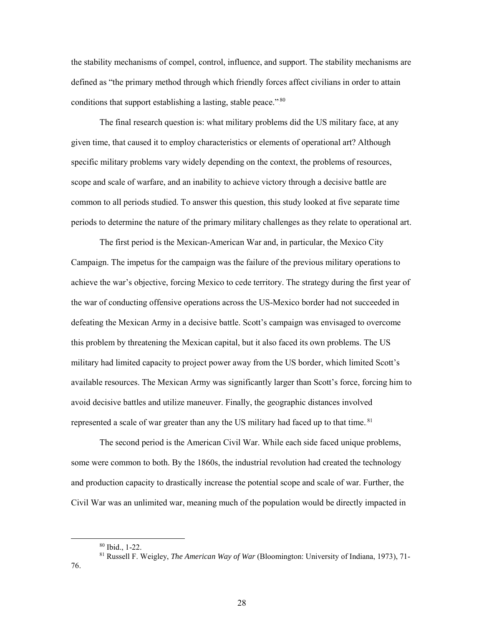the stability mechanisms of compel, control, influence, and support. The stability mechanisms are defined as "the primary method through which friendly forces affect civilians in order to attain conditions that support establishing a lasting, stable peace." $80$ 

The final research question is: what military problems did the US military face, at any given time, that caused it to employ characteristics or elements of operational art? Although specific military problems vary widely depending on the context, the problems of resources, scope and scale of warfare, and an inability to achieve victory through a decisive battle are common to all periods studied. To answer this question, this study looked at five separate time periods to determine the nature of the primary military challenges as they relate to operational art.

The first period is the Mexican-American War and, in particular, the Mexico City Campaign. The impetus for the campaign was the failure of the previous military operations to achieve the war's objective, forcing Mexico to cede territory. The strategy during the first year of the war of conducting offensive operations across the US-Mexico border had not succeeded in defeating the Mexican Army in a decisive battle. Scott's campaign was envisaged to overcome this problem by threatening the Mexican capital, but it also faced its own problems. The US military had limited capacity to project power away from the US border, which limited Scott's available resources. The Mexican Army was significantly larger than Scott's force, forcing him to avoid decisive battles and utilize maneuver. Finally, the geographic distances involved represented a scale of war greater than any the US military had faced up to that time.<sup>81</sup>

The second period is the American Civil War. While each side faced unique problems, some were common to both. By the 1860s, the industrial revolution had created the technology and production capacity to drastically increase the potential scope and scale of war. Further, the Civil War was an unlimited war, meaning much of the population would be directly impacted in

 <sup>80</sup> Ibid., 1-22.

<sup>81</sup> Russell F. Weigley, *The American Way of War* (Bloomington: University of Indiana, 1973), 71-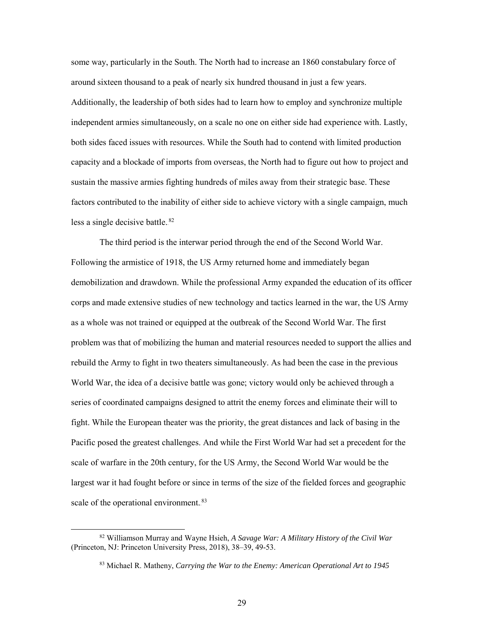some way, particularly in the South. The North had to increase an 1860 constabulary force of around sixteen thousand to a peak of nearly six hundred thousand in just a few years. Additionally, the leadership of both sides had to learn how to employ and synchronize multiple independent armies simultaneously, on a scale no one on either side had experience with. Lastly, both sides faced issues with resources. While the South had to contend with limited production capacity and a blockade of imports from overseas, the North had to figure out how to project and sustain the massive armies fighting hundreds of miles away from their strategic base. These factors contributed to the inability of either side to achieve victory with a single campaign, much less a single decisive battle.<sup>82</sup>

The third period is the interwar period through the end of the Second World War. Following the armistice of 1918, the US Army returned home and immediately began demobilization and drawdown. While the professional Army expanded the education of its officer corps and made extensive studies of new technology and tactics learned in the war, the US Army as a whole was not trained or equipped at the outbreak of the Second World War. The first problem was that of mobilizing the human and material resources needed to support the allies and rebuild the Army to fight in two theaters simultaneously. As had been the case in the previous World War, the idea of a decisive battle was gone; victory would only be achieved through a series of coordinated campaigns designed to attrit the enemy forces and eliminate their will to fight. While the European theater was the priority, the great distances and lack of basing in the Pacific posed the greatest challenges. And while the First World War had set a precedent for the scale of warfare in the 20th century, for the US Army, the Second World War would be the largest war it had fought before or since in terms of the size of the fielded forces and geographic scale of the operational environment.<sup>83</sup>

 <sup>82</sup> Williamson Murray and Wayne Hsieh, *A Savage War: A Military History of the Civil War* (Princeton, NJ: Princeton University Press, 2018), 38–39, 49-53.

<sup>83</sup> Michael R. Matheny, *Carrying the War to the Enemy: American Operational Art to 1945*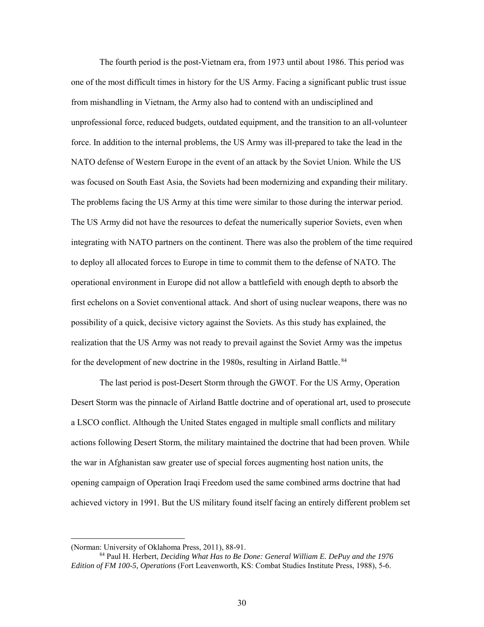The fourth period is the post-Vietnam era, from 1973 until about 1986. This period was one of the most difficult times in history for the US Army. Facing a significant public trust issue from mishandling in Vietnam, the Army also had to contend with an undisciplined and unprofessional force, reduced budgets, outdated equipment, and the transition to an all-volunteer force. In addition to the internal problems, the US Army was ill-prepared to take the lead in the NATO defense of Western Europe in the event of an attack by the Soviet Union. While the US was focused on South East Asia, the Soviets had been modernizing and expanding their military. The problems facing the US Army at this time were similar to those during the interwar period. The US Army did not have the resources to defeat the numerically superior Soviets, even when integrating with NATO partners on the continent. There was also the problem of the time required to deploy all allocated forces to Europe in time to commit them to the defense of NATO. The operational environment in Europe did not allow a battlefield with enough depth to absorb the first echelons on a Soviet conventional attack. And short of using nuclear weapons, there was no possibility of a quick, decisive victory against the Soviets. As this study has explained, the realization that the US Army was not ready to prevail against the Soviet Army was the impetus for the development of new doctrine in the 1980s, resulting in Airland Battle.<sup>84</sup>

The last period is post-Desert Storm through the GWOT. For the US Army, Operation Desert Storm was the pinnacle of Airland Battle doctrine and of operational art, used to prosecute a LSCO conflict. Although the United States engaged in multiple small conflicts and military actions following Desert Storm, the military maintained the doctrine that had been proven. While the war in Afghanistan saw greater use of special forces augmenting host nation units, the opening campaign of Operation Iraqi Freedom used the same combined arms doctrine that had achieved victory in 1991. But the US military found itself facing an entirely different problem set

 $\overline{a}$ 

<sup>(</sup>Norman: University of Oklahoma Press, 2011), 88-91.

<sup>84</sup> Paul H. Herbert, *Deciding What Has to Be Done: General William E. DePuy and the 1976 Edition of FM 100-5, Operations* (Fort Leavenworth, KS: Combat Studies Institute Press, 1988), 5-6.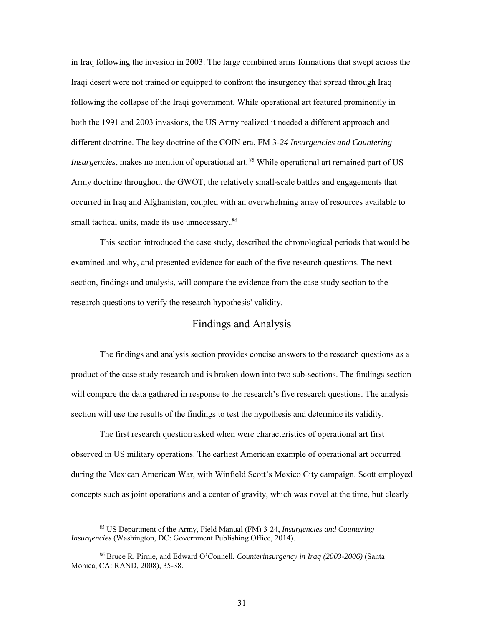in Iraq following the invasion in 2003. The large combined arms formations that swept across the Iraqi desert were not trained or equipped to confront the insurgency that spread through Iraq following the collapse of the Iraqi government. While operational art featured prominently in both the 1991 and 2003 invasions, the US Army realized it needed a different approach and different doctrine. The key doctrine of the COIN era, FM 3-*24 Insurgencies and Countering Insurgencies*, makes no mention of operational art.<sup>85</sup> While operational art remained part of US Army doctrine throughout the GWOT, the relatively small-scale battles and engagements that occurred in Iraq and Afghanistan, coupled with an overwhelming array of resources available to small tactical units, made its use unnecessary.<sup>86</sup>

<span id="page-37-0"></span>This section introduced the case study, described the chronological periods that would be examined and why, and presented evidence for each of the five research questions. The next section, findings and analysis, will compare the evidence from the case study section to the research questions to verify the research hypothesis' validity.

#### Findings and Analysis

The findings and analysis section provides concise answers to the research questions as a product of the case study research and is broken down into two sub-sections. The findings section will compare the data gathered in response to the research's five research questions. The analysis section will use the results of the findings to test the hypothesis and determine its validity.

The first research question asked when were characteristics of operational art first observed in US military operations. The earliest American example of operational art occurred during the Mexican American War, with Winfield Scott's Mexico City campaign. Scott employed concepts such as joint operations and a center of gravity, which was novel at the time, but clearly

 <sup>85</sup> US Department of the Army, Field Manual (FM) 3-24, *Insurgencies and Countering Insurgencies* (Washington, DC: Government Publishing Office, 2014).

<sup>86</sup> Bruce R. Pirnie, and Edward O'Connell, *Counterinsurgency in Iraq (2003-2006)* (Santa Monica, CA: RAND, 2008), 35-38.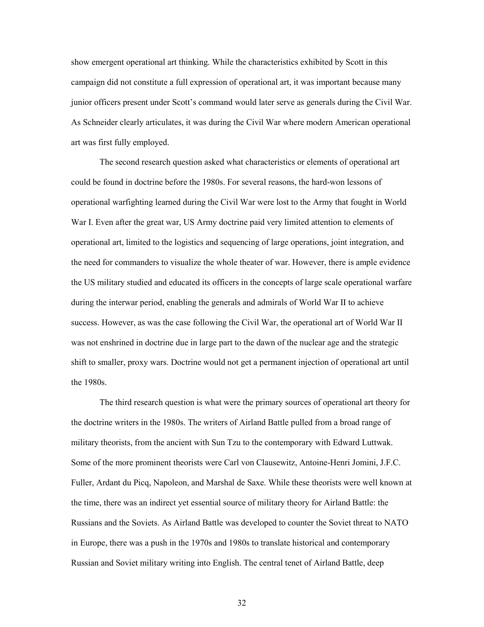show emergent operational art thinking. While the characteristics exhibited by Scott in this campaign did not constitute a full expression of operational art, it was important because many junior officers present under Scott's command would later serve as generals during the Civil War. As Schneider clearly articulates, it was during the Civil War where modern American operational art was first fully employed.

The second research question asked what characteristics or elements of operational art could be found in doctrine before the 1980s. For several reasons, the hard-won lessons of operational warfighting learned during the Civil War were lost to the Army that fought in World War I. Even after the great war, US Army doctrine paid very limited attention to elements of operational art, limited to the logistics and sequencing of large operations, joint integration, and the need for commanders to visualize the whole theater of war. However, there is ample evidence the US military studied and educated its officers in the concepts of large scale operational warfare during the interwar period, enabling the generals and admirals of World War II to achieve success. However, as was the case following the Civil War, the operational art of World War II was not enshrined in doctrine due in large part to the dawn of the nuclear age and the strategic shift to smaller, proxy wars. Doctrine would not get a permanent injection of operational art until the 1980s.

The third research question is what were the primary sources of operational art theory for the doctrine writers in the 1980s. The writers of Airland Battle pulled from a broad range of military theorists, from the ancient with Sun Tzu to the contemporary with Edward Luttwak. Some of the more prominent theorists were Carl von Clausewitz, Antoine-Henri Jomini, J.F.C. Fuller, Ardant du Picq, Napoleon, and Marshal de Saxe. While these theorists were well known at the time, there was an indirect yet essential source of military theory for Airland Battle: the Russians and the Soviets. As Airland Battle was developed to counter the Soviet threat to NATO in Europe, there was a push in the 1970s and 1980s to translate historical and contemporary Russian and Soviet military writing into English. The central tenet of Airland Battle, deep

32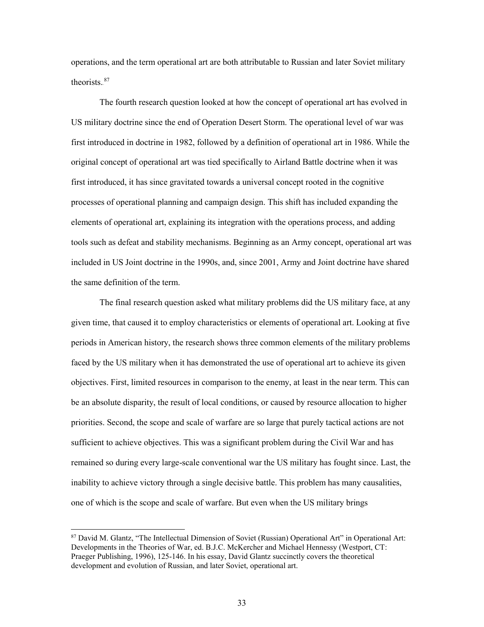operations, and the term operational art are both attributable to Russian and later Soviet military theorists. $87$ 

The fourth research question looked at how the concept of operational art has evolved in US military doctrine since the end of Operation Desert Storm. The operational level of war was first introduced in doctrine in 1982, followed by a definition of operational art in 1986. While the original concept of operational art was tied specifically to Airland Battle doctrine when it was first introduced, it has since gravitated towards a universal concept rooted in the cognitive processes of operational planning and campaign design. This shift has included expanding the elements of operational art, explaining its integration with the operations process, and adding tools such as defeat and stability mechanisms. Beginning as an Army concept, operational art was included in US Joint doctrine in the 1990s, and, since 2001, Army and Joint doctrine have shared the same definition of the term.

The final research question asked what military problems did the US military face, at any given time, that caused it to employ characteristics or elements of operational art. Looking at five periods in American history, the research shows three common elements of the military problems faced by the US military when it has demonstrated the use of operational art to achieve its given objectives. First, limited resources in comparison to the enemy, at least in the near term. This can be an absolute disparity, the result of local conditions, or caused by resource allocation to higher priorities. Second, the scope and scale of warfare are so large that purely tactical actions are not sufficient to achieve objectives. This was a significant problem during the Civil War and has remained so during every large-scale conventional war the US military has fought since. Last, the inability to achieve victory through a single decisive battle. This problem has many causalities, one of which is the scope and scale of warfare. But even when the US military brings

 $\overline{a}$ 

<sup>87</sup> David M. Glantz, "The Intellectual Dimension of Soviet (Russian) Operational Art" in Operational Art: Developments in the Theories of War, ed. B.J.C. McKercher and Michael Hennessy (Westport, CT: Praeger Publishing, 1996), 125-146. In his essay, David Glantz succinctly covers the theoretical development and evolution of Russian, and later Soviet, operational art.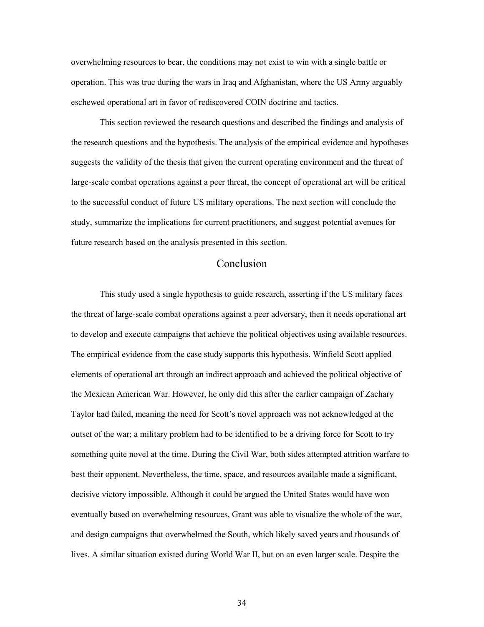overwhelming resources to bear, the conditions may not exist to win with a single battle or operation. This was true during the wars in Iraq and Afghanistan, where the US Army arguably eschewed operational art in favor of rediscovered COIN doctrine and tactics.

<span id="page-40-0"></span>This section reviewed the research questions and described the findings and analysis of the research questions and the hypothesis. The analysis of the empirical evidence and hypotheses suggests the validity of the thesis that given the current operating environment and the threat of large-scale combat operations against a peer threat, the concept of operational art will be critical to the successful conduct of future US military operations. The next section will conclude the study, summarize the implications for current practitioners, and suggest potential avenues for future research based on the analysis presented in this section.

#### Conclusion

This study used a single hypothesis to guide research, asserting if the US military faces the threat of large-scale combat operations against a peer adversary, then it needs operational art to develop and execute campaigns that achieve the political objectives using available resources. The empirical evidence from the case study supports this hypothesis. Winfield Scott applied elements of operational art through an indirect approach and achieved the political objective of the Mexican American War. However, he only did this after the earlier campaign of Zachary Taylor had failed, meaning the need for Scott's novel approach was not acknowledged at the outset of the war; a military problem had to be identified to be a driving force for Scott to try something quite novel at the time. During the Civil War, both sides attempted attrition warfare to best their opponent. Nevertheless, the time, space, and resources available made a significant, decisive victory impossible. Although it could be argued the United States would have won eventually based on overwhelming resources, Grant was able to visualize the whole of the war, and design campaigns that overwhelmed the South, which likely saved years and thousands of lives. A similar situation existed during World War II, but on an even larger scale. Despite the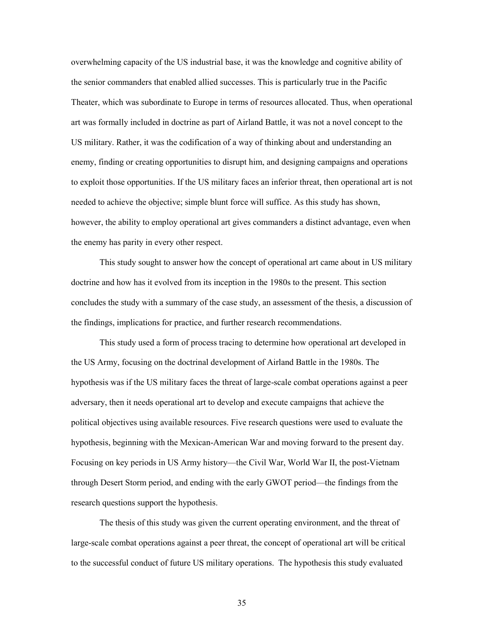overwhelming capacity of the US industrial base, it was the knowledge and cognitive ability of the senior commanders that enabled allied successes. This is particularly true in the Pacific Theater, which was subordinate to Europe in terms of resources allocated. Thus, when operational art was formally included in doctrine as part of Airland Battle, it was not a novel concept to the US military. Rather, it was the codification of a way of thinking about and understanding an enemy, finding or creating opportunities to disrupt him, and designing campaigns and operations to exploit those opportunities. If the US military faces an inferior threat, then operational art is not needed to achieve the objective; simple blunt force will suffice. As this study has shown, however, the ability to employ operational art gives commanders a distinct advantage, even when the enemy has parity in every other respect.

This study sought to answer how the concept of operational art came about in US military doctrine and how has it evolved from its inception in the 1980s to the present. This section concludes the study with a summary of the case study, an assessment of the thesis, a discussion of the findings, implications for practice, and further research recommendations.

This study used a form of process tracing to determine how operational art developed in the US Army, focusing on the doctrinal development of Airland Battle in the 1980s. The hypothesis was if the US military faces the threat of large-scale combat operations against a peer adversary, then it needs operational art to develop and execute campaigns that achieve the political objectives using available resources. Five research questions were used to evaluate the hypothesis, beginning with the Mexican-American War and moving forward to the present day. Focusing on key periods in US Army history—the Civil War, World War II, the post-Vietnam through Desert Storm period, and ending with the early GWOT period—the findings from the research questions support the hypothesis.

The thesis of this study was given the current operating environment, and the threat of large-scale combat operations against a peer threat, the concept of operational art will be critical to the successful conduct of future US military operations. The hypothesis this study evaluated

35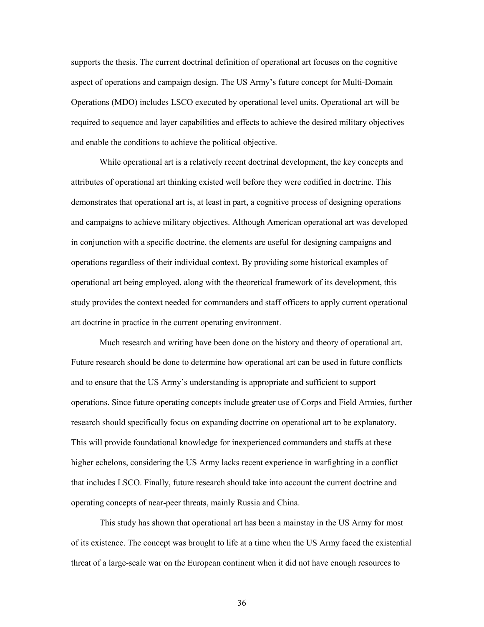supports the thesis. The current doctrinal definition of operational art focuses on the cognitive aspect of operations and campaign design. The US Army's future concept for Multi-Domain Operations (MDO) includes LSCO executed by operational level units. Operational art will be required to sequence and layer capabilities and effects to achieve the desired military objectives and enable the conditions to achieve the political objective.

While operational art is a relatively recent doctrinal development, the key concepts and attributes of operational art thinking existed well before they were codified in doctrine. This demonstrates that operational art is, at least in part, a cognitive process of designing operations and campaigns to achieve military objectives. Although American operational art was developed in conjunction with a specific doctrine, the elements are useful for designing campaigns and operations regardless of their individual context. By providing some historical examples of operational art being employed, along with the theoretical framework of its development, this study provides the context needed for commanders and staff officers to apply current operational art doctrine in practice in the current operating environment.

Much research and writing have been done on the history and theory of operational art. Future research should be done to determine how operational art can be used in future conflicts and to ensure that the US Army's understanding is appropriate and sufficient to support operations. Since future operating concepts include greater use of Corps and Field Armies, further research should specifically focus on expanding doctrine on operational art to be explanatory. This will provide foundational knowledge for inexperienced commanders and staffs at these higher echelons, considering the US Army lacks recent experience in warfighting in a conflict that includes LSCO. Finally, future research should take into account the current doctrine and operating concepts of near-peer threats, mainly Russia and China.

This study has shown that operational art has been a mainstay in the US Army for most of its existence. The concept was brought to life at a time when the US Army faced the existential threat of a large-scale war on the European continent when it did not have enough resources to

36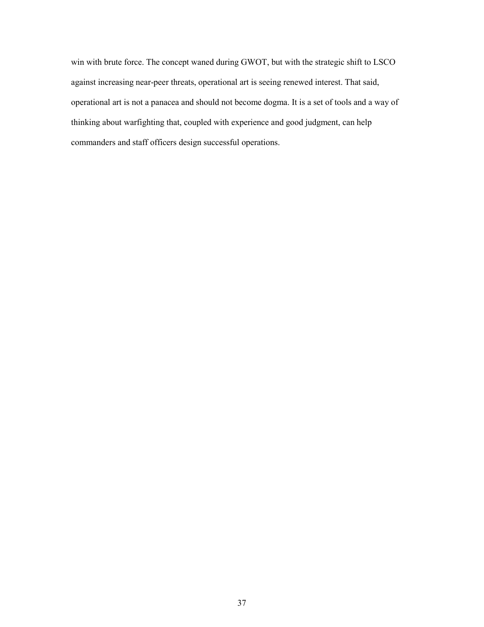win with brute force. The concept waned during GWOT, but with the strategic shift to LSCO against increasing near-peer threats, operational art is seeing renewed interest. That said, operational art is not a panacea and should not become dogma. It is a set of tools and a way of thinking about warfighting that, coupled with experience and good judgment, can help commanders and staff officers design successful operations.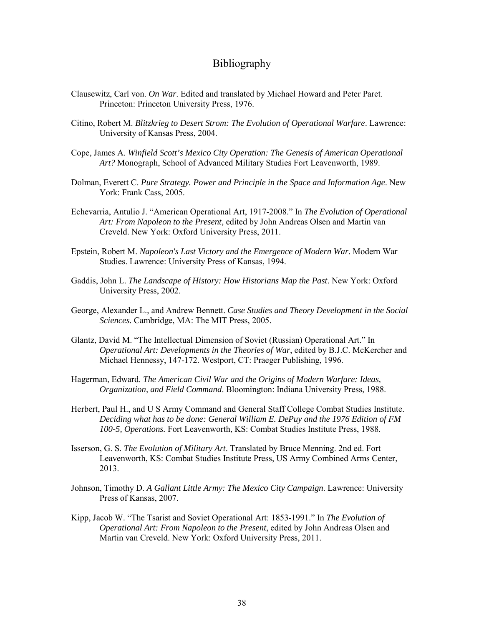#### Bibliography

- <span id="page-44-0"></span>Clausewitz, Carl von. *On War*. Edited and translated by Michael Howard and Peter Paret. Princeton: Princeton University Press, 1976.
- Citino, Robert M. *Blitzkrieg to Desert Strom: The Evolution of Operational Warfare*. Lawrence: University of Kansas Press, 2004.
- Cope, James A. *Winfield Scott's Mexico City Operation: The Genesis of American Operational Art?* Monograph, School of Advanced Military Studies Fort Leavenworth, 1989.
- Dolman, Everett C. *Pure Strategy. Power and Principle in the Space and Information Age*. New York: Frank Cass, 2005.
- Echevarria, Antulio J. "American Operational Art, 1917-2008." In *The Evolution of Operational Art: From Napoleon to the Present*, edited by John Andreas Olsen and Martin van Creveld. New York: Oxford University Press, 2011.
- Epstein, Robert M. *Napoleon's Last Victory and the Emergence of Modern War*. Modern War Studies. Lawrence: University Press of Kansas, 1994.
- Gaddis, John L. *The Landscape of History: How Historians Map the Past*. New York: Oxford University Press, 2002.
- George, Alexander L., and Andrew Bennett. *Case Studies and Theory Development in the Social Sciences.* Cambridge, MA: The MIT Press, 2005.
- Glantz, David M. "The Intellectual Dimension of Soviet (Russian) Operational Art." In *Operational Art: Developments in the Theories of War*, edited by B.J.C. McKercher and Michael Hennessy, 147-172. Westport, CT: Praeger Publishing, 1996.
- Hagerman, Edward. *The American Civil War and the Origins of Modern Warfare: Ideas, Organization, and Field Command*. Bloomington: Indiana University Press, 1988.
- Herbert, Paul H., and U S Army Command and General Staff College Combat Studies Institute. *Deciding what has to be done: General William E. DePuy and the 1976 Edition of FM 100-5, Operations.* Fort Leavenworth, KS: Combat Studies Institute Press, 1988.
- Isserson, G. S. *The Evolution of Military Art*. Translated by Bruce Menning. 2nd ed. Fort Leavenworth, KS: Combat Studies Institute Press, US Army Combined Arms Center, 2013.
- Johnson, Timothy D. *A Gallant Little Army: The Mexico City Campaign*. Lawrence: University Press of Kansas, 2007.
- Kipp, Jacob W. "The Tsarist and Soviet Operational Art: 1853-1991." In *The Evolution of Operational Art: From Napoleon to the Present*, edited by John Andreas Olsen and Martin van Creveld. New York: Oxford University Press, 2011.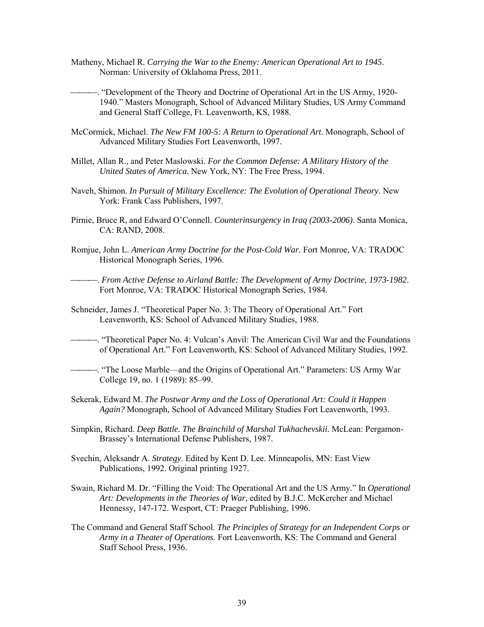Matheny, Michael R. *Carrying the War to the Enemy: American Operational Art to 1945*. Norman: University of Oklahoma Press, 2011.

. "Development of the Theory and Doctrine of Operational Art in the US Army, 1920- 1940." Masters Monograph, School of Advanced Military Studies, US Army Command and General Staff College, Ft. Leavenworth, KS, 1988.

- McCormick, Michael. *The New FM 100-5: A Return to Operational Art*. Monograph, School of Advanced Military Studies Fort Leavenworth, 1997.
- Millet, Allan R., and Peter Maslowski. *For the Common Defense: A Military History of the United States of America*. New York, NY: The Free Press, 1994.
- Naveh, Shimon. *In Pursuit of Military Excellence: The Evolution of Operational Theory*. New York: Frank Cass Publishers, 1997.
- Pirnie, Bruce R, and Edward O'Connell. *Counterinsurgency in Iraq (2003-2006)*. Santa Monica, CA: RAND, 2008.
- Romjue, John L. *American Army Doctrine for the Post-Cold War.* Fort Monroe, VA: TRADOC Historical Monograph Series, 1996.

. *From Active Defense to Airland Battle: The Development of Army Doctrine, 1973-1982*. Fort Monroe, VA: TRADOC Historical Monograph Series, 1984.

- Schneider, James J. "Theoretical Paper No. 3: The Theory of Operational Art." Fort Leavenworth, KS: School of Advanced Military Studies, 1988.
- . "Theoretical Paper No. 4: Vulcan's Anvil: The American Civil War and the Foundations of Operational Art." Fort Leavenworth, KS: School of Advanced Military Studies, 1992.
- . "The Loose Marble—and the Origins of Operational Art." Parameters: US Army War College 19, no. 1 (1989): 85–99.
- Sekerak, Edward M. *The Postwar Army and the Loss of Operational Art: Could it Happen Again?* Monograph, School of Advanced Military Studies Fort Leavenworth, 1993.
- Simpkin, Richard. *Deep Battle. The Brainchild of Marshal Tukhachevskii.* McLean: Pergamon-Brassey's International Defense Publishers, 1987.
- Svechin, Aleksandr A. *Strategy*. Edited by Kent D. Lee. Minneapolis, MN: East View Publications, 1992. Original printing 1927.
- Swain, Richard M. Dr. "Filling the Void: The Operational Art and the US Army." In *Operational Art: Developments in the Theories of War*, edited by B.J.C. McKercher and Michael Hennessy, 147-172. Wesport, CT: Praeger Publishing, 1996.
- The Command and General Staff School. *The Principles of Strategy for an Independent Corps or Army in a Theater of Operations.* Fort Leavenworth, KS: The Command and General Staff School Press, 1936.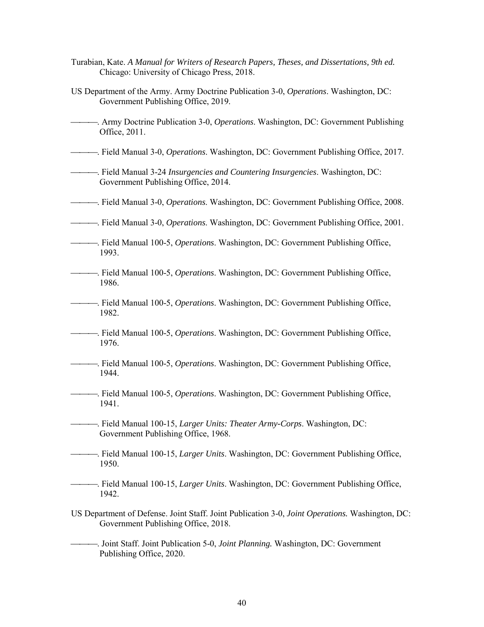- Turabian, Kate. *A Manual for Writers of Research Papers, Theses, and Dissertations, 9th ed.* Chicago: University of Chicago Press, 2018.
- US Department of the Army. Army Doctrine Publication 3-0, *Operations*. Washington, DC: Government Publishing Office, 2019.
- . Army Doctrine Publication 3-0, *Operations*. Washington, DC: Government Publishing Office, 2011.
- . Field Manual 3-0, *Operations*. Washington, DC: Government Publishing Office, 2017.
- . Field Manual 3-24 *Insurgencies and Countering Insurgencies*. Washington, DC: Government Publishing Office, 2014.
- . Field Manual 3-0, *Operations*. Washington, DC: Government Publishing Office, 2008.
- . Field Manual 3-0, *Operations*. Washington, DC: Government Publishing Office, 2001.
- . Field Manual 100-5, *Operations*. Washington, DC: Government Publishing Office, 1993.
- . Field Manual 100-5, *Operations*. Washington, DC: Government Publishing Office, 1986.
- . Field Manual 100-5, *Operations*. Washington, DC: Government Publishing Office, 1982.
- . Field Manual 100-5, *Operations*. Washington, DC: Government Publishing Office, 1976.
- . Field Manual 100-5, *Operations*. Washington, DC: Government Publishing Office, 1944.
- . Field Manual 100-5, *Operations*. Washington, DC: Government Publishing Office, 1941.
- . Field Manual 100-15, *Larger Units: Theater Army-Corps*. Washington, DC: Government Publishing Office, 1968.
- . Field Manual 100-15, *Larger Units*. Washington, DC: Government Publishing Office, 1950.
- . Field Manual 100-15, *Larger Units*. Washington, DC: Government Publishing Office, 1942.
- US Department of Defense. Joint Staff. Joint Publication 3-0, *Joint Operations.* Washington, DC: Government Publishing Office, 2018.
	- . Joint Staff. Joint Publication 5-0, *Joint Planning.* Washington, DC: Government Publishing Office, 2020.